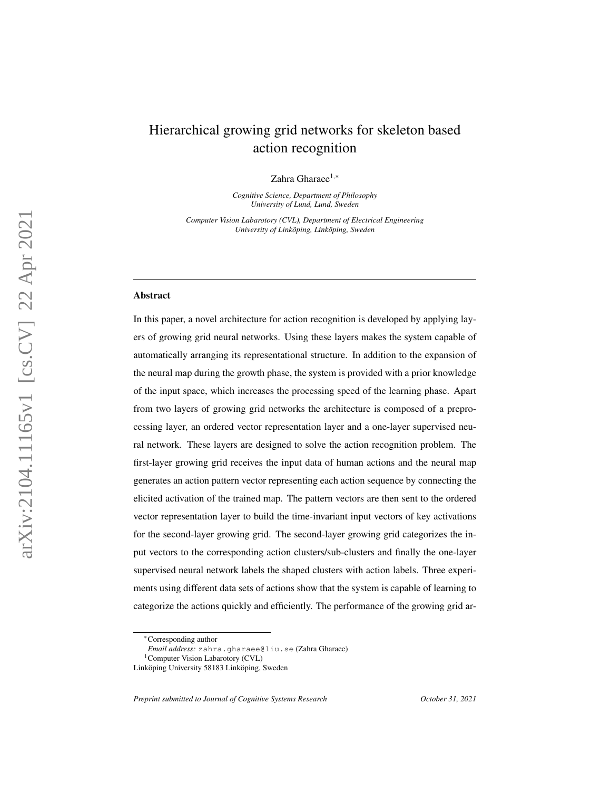# Hierarchical growing grid networks for skeleton based action recognition

Zahra Gharaee<sup>1,∗</sup>

*Cognitive Science, Department of Philosophy University of Lund, Lund, Sweden*

*Computer Vision Labarotory (CVL), Department of Electrical Engineering University of Linköping, Linköping, Sweden* 

#### Abstract

In this paper, a novel architecture for action recognition is developed by applying layers of growing grid neural networks. Using these layers makes the system capable of automatically arranging its representational structure. In addition to the expansion of the neural map during the growth phase, the system is provided with a prior knowledge of the input space, which increases the processing speed of the learning phase. Apart from two layers of growing grid networks the architecture is composed of a preprocessing layer, an ordered vector representation layer and a one-layer supervised neural network. These layers are designed to solve the action recognition problem. The first-layer growing grid receives the input data of human actions and the neural map generates an action pattern vector representing each action sequence by connecting the elicited activation of the trained map. The pattern vectors are then sent to the ordered vector representation layer to build the time-invariant input vectors of key activations for the second-layer growing grid. The second-layer growing grid categorizes the input vectors to the corresponding action clusters/sub-clusters and finally the one-layer supervised neural network labels the shaped clusters with action labels. Three experiments using different data sets of actions show that the system is capable of learning to categorize the actions quickly and efficiently. The performance of the growing grid ar-

*Preprint submitted to Journal of Cognitive Systems Research October 31, 2021*

<sup>∗</sup>Corresponding author

*Email address:* zahra.gharaee@liu.se (Zahra Gharaee)

<sup>&</sup>lt;sup>1</sup>Computer Vision Labarotory (CVL)

Linköping University 58183 Linköping, Sweden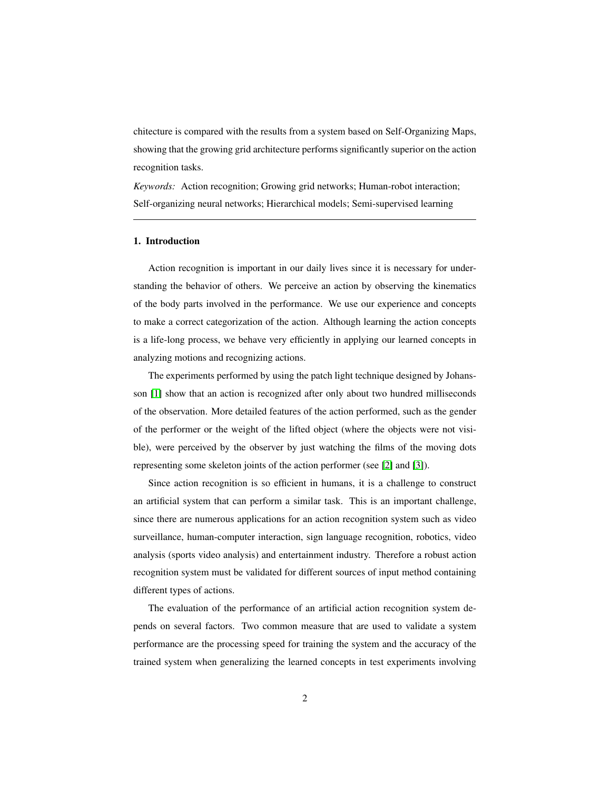chitecture is compared with the results from a system based on Self-Organizing Maps, showing that the growing grid architecture performs significantly superior on the action recognition tasks.

*Keywords:* Action recognition; Growing grid networks; Human-robot interaction; Self-organizing neural networks; Hierarchical models; Semi-supervised learning

# 1. Introduction

Action recognition is important in our daily lives since it is necessary for understanding the behavior of others. We perceive an action by observing the kinematics of the body parts involved in the performance. We use our experience and concepts to make a correct categorization of the action. Although learning the action concepts is a life-long process, we behave very efficiently in applying our learned concepts in analyzing motions and recognizing actions.

The experiments performed by using the patch light technique designed by Johansson [\[1\]](#page-37-0) show that an action is recognized after only about two hundred milliseconds of the observation. More detailed features of the action performed, such as the gender of the performer or the weight of the lifted object (where the objects were not visible), were perceived by the observer by just watching the films of the moving dots representing some skeleton joints of the action performer (see [\[2\]](#page-37-1) and [\[3\]](#page-37-2)).

Since action recognition is so efficient in humans, it is a challenge to construct an artificial system that can perform a similar task. This is an important challenge, since there are numerous applications for an action recognition system such as video surveillance, human-computer interaction, sign language recognition, robotics, video analysis (sports video analysis) and entertainment industry. Therefore a robust action recognition system must be validated for different sources of input method containing different types of actions.

The evaluation of the performance of an artificial action recognition system depends on several factors. Two common measure that are used to validate a system performance are the processing speed for training the system and the accuracy of the trained system when generalizing the learned concepts in test experiments involving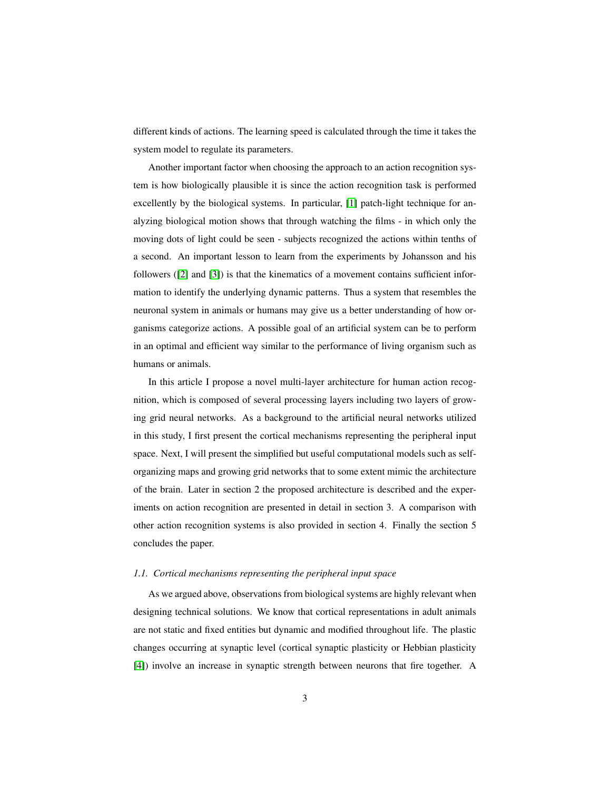different kinds of actions. The learning speed is calculated through the time it takes the system model to regulate its parameters.

Another important factor when choosing the approach to an action recognition system is how biologically plausible it is since the action recognition task is performed excellently by the biological systems. In particular, [\[1\]](#page-37-0) patch-light technique for analyzing biological motion shows that through watching the films - in which only the moving dots of light could be seen - subjects recognized the actions within tenths of a second. An important lesson to learn from the experiments by Johansson and his followers ([\[2\]](#page-37-1) and [\[3\]](#page-37-2)) is that the kinematics of a movement contains sufficient information to identify the underlying dynamic patterns. Thus a system that resembles the neuronal system in animals or humans may give us a better understanding of how organisms categorize actions. A possible goal of an artificial system can be to perform in an optimal and efficient way similar to the performance of living organism such as humans or animals.

In this article I propose a novel multi-layer architecture for human action recognition, which is composed of several processing layers including two layers of growing grid neural networks. As a background to the artificial neural networks utilized in this study, I first present the cortical mechanisms representing the peripheral input space. Next, I will present the simplified but useful computational models such as selforganizing maps and growing grid networks that to some extent mimic the architecture of the brain. Later in section 2 the proposed architecture is described and the experiments on action recognition are presented in detail in section 3. A comparison with other action recognition systems is also provided in section 4. Finally the section 5 concludes the paper.

## *1.1. Cortical mechanisms representing the peripheral input space*

As we argued above, observations from biological systems are highly relevant when designing technical solutions. We know that cortical representations in adult animals are not static and fixed entities but dynamic and modified throughout life. The plastic changes occurring at synaptic level (cortical synaptic plasticity or Hebbian plasticity [\[4\]](#page-37-3)) involve an increase in synaptic strength between neurons that fire together. A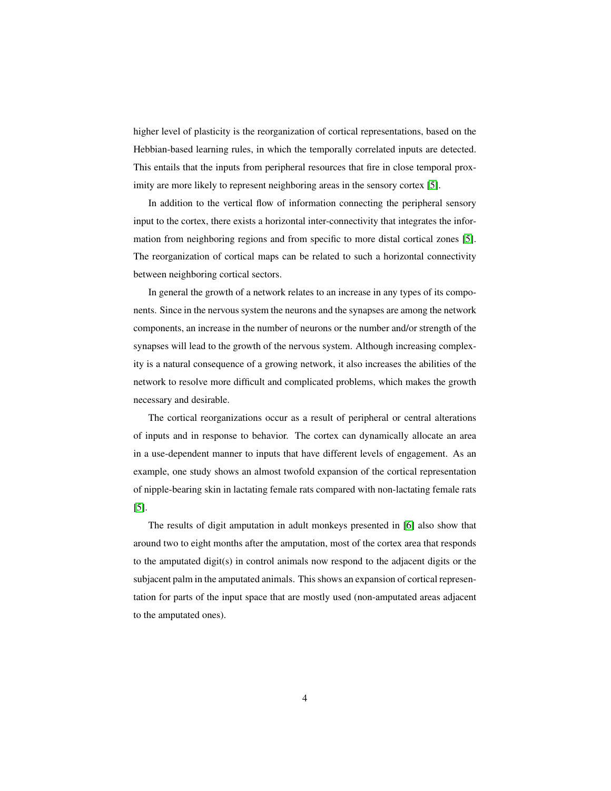higher level of plasticity is the reorganization of cortical representations, based on the Hebbian-based learning rules, in which the temporally correlated inputs are detected. This entails that the inputs from peripheral resources that fire in close temporal prox-imity are more likely to represent neighboring areas in the sensory cortex [\[5\]](#page-37-4).

In addition to the vertical flow of information connecting the peripheral sensory input to the cortex, there exists a horizontal inter-connectivity that integrates the information from neighboring regions and from specific to more distal cortical zones [\[5\]](#page-37-4). The reorganization of cortical maps can be related to such a horizontal connectivity between neighboring cortical sectors.

In general the growth of a network relates to an increase in any types of its components. Since in the nervous system the neurons and the synapses are among the network components, an increase in the number of neurons or the number and/or strength of the synapses will lead to the growth of the nervous system. Although increasing complexity is a natural consequence of a growing network, it also increases the abilities of the network to resolve more difficult and complicated problems, which makes the growth necessary and desirable.

The cortical reorganizations occur as a result of peripheral or central alterations of inputs and in response to behavior. The cortex can dynamically allocate an area in a use-dependent manner to inputs that have different levels of engagement. As an example, one study shows an almost twofold expansion of the cortical representation of nipple-bearing skin in lactating female rats compared with non-lactating female rats [\[5\]](#page-37-4).

The results of digit amputation in adult monkeys presented in [\[6\]](#page-37-5) also show that around two to eight months after the amputation, most of the cortex area that responds to the amputated digit(s) in control animals now respond to the adjacent digits or the subjacent palm in the amputated animals. This shows an expansion of cortical representation for parts of the input space that are mostly used (non-amputated areas adjacent to the amputated ones).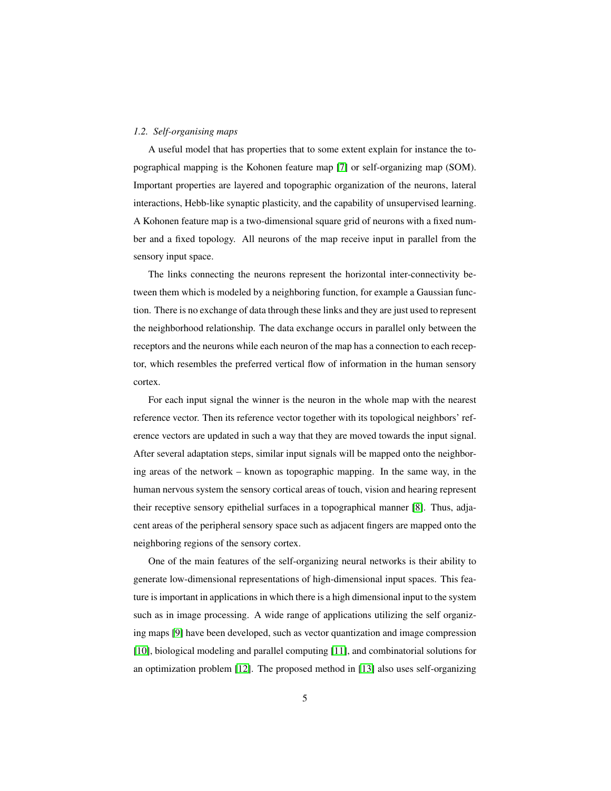## *1.2. Self-organising maps*

A useful model that has properties that to some extent explain for instance the topographical mapping is the Kohonen feature map [\[7\]](#page-37-6) or self-organizing map (SOM). Important properties are layered and topographic organization of the neurons, lateral interactions, Hebb-like synaptic plasticity, and the capability of unsupervised learning. A Kohonen feature map is a two-dimensional square grid of neurons with a fixed number and a fixed topology. All neurons of the map receive input in parallel from the sensory input space.

The links connecting the neurons represent the horizontal inter-connectivity between them which is modeled by a neighboring function, for example a Gaussian function. There is no exchange of data through these links and they are just used to represent the neighborhood relationship. The data exchange occurs in parallel only between the receptors and the neurons while each neuron of the map has a connection to each receptor, which resembles the preferred vertical flow of information in the human sensory cortex.

For each input signal the winner is the neuron in the whole map with the nearest reference vector. Then its reference vector together with its topological neighbors' reference vectors are updated in such a way that they are moved towards the input signal. After several adaptation steps, similar input signals will be mapped onto the neighboring areas of the network – known as topographic mapping. In the same way, in the human nervous system the sensory cortical areas of touch, vision and hearing represent their receptive sensory epithelial surfaces in a topographical manner [\[8\]](#page-37-7). Thus, adjacent areas of the peripheral sensory space such as adjacent fingers are mapped onto the neighboring regions of the sensory cortex.

One of the main features of the self-organizing neural networks is their ability to generate low-dimensional representations of high-dimensional input spaces. This feature is important in applications in which there is a high dimensional input to the system such as in image processing. A wide range of applications utilizing the self organizing maps [\[9\]](#page-37-8) have been developed, such as vector quantization and image compression [\[10\]](#page-37-9), biological modeling and parallel computing [\[11\]](#page-38-0), and combinatorial solutions for an optimization problem [\[12\]](#page-38-1). The proposed method in [\[13\]](#page-38-2) also uses self-organizing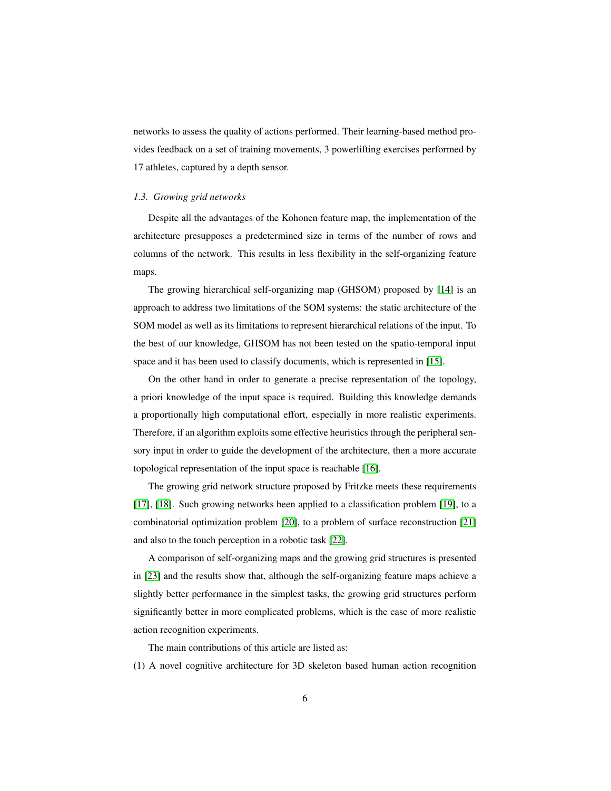networks to assess the quality of actions performed. Their learning-based method provides feedback on a set of training movements, 3 powerlifting exercises performed by 17 athletes, captured by a depth sensor.

#### *1.3. Growing grid networks*

Despite all the advantages of the Kohonen feature map, the implementation of the architecture presupposes a predetermined size in terms of the number of rows and columns of the network. This results in less flexibility in the self-organizing feature maps.

The growing hierarchical self-organizing map (GHSOM) proposed by [\[14\]](#page-38-3) is an approach to address two limitations of the SOM systems: the static architecture of the SOM model as well as its limitations to represent hierarchical relations of the input. To the best of our knowledge, GHSOM has not been tested on the spatio-temporal input space and it has been used to classify documents, which is represented in [\[15\]](#page-38-4).

On the other hand in order to generate a precise representation of the topology, a priori knowledge of the input space is required. Building this knowledge demands a proportionally high computational effort, especially in more realistic experiments. Therefore, if an algorithm exploits some effective heuristics through the peripheral sensory input in order to guide the development of the architecture, then a more accurate topological representation of the input space is reachable [\[16\]](#page-38-5).

The growing grid network structure proposed by Fritzke meets these requirements [\[17\]](#page-38-6), [\[18\]](#page-38-7). Such growing networks been applied to a classification problem [\[19\]](#page-38-8), to a combinatorial optimization problem [\[20\]](#page-39-0), to a problem of surface reconstruction [\[21\]](#page-39-1) and also to the touch perception in a robotic task [\[22\]](#page-39-2).

A comparison of self-organizing maps and the growing grid structures is presented in [\[23\]](#page-39-3) and the results show that, although the self-organizing feature maps achieve a slightly better performance in the simplest tasks, the growing grid structures perform significantly better in more complicated problems, which is the case of more realistic action recognition experiments.

The main contributions of this article are listed as:

(1) A novel cognitive architecture for 3D skeleton based human action recognition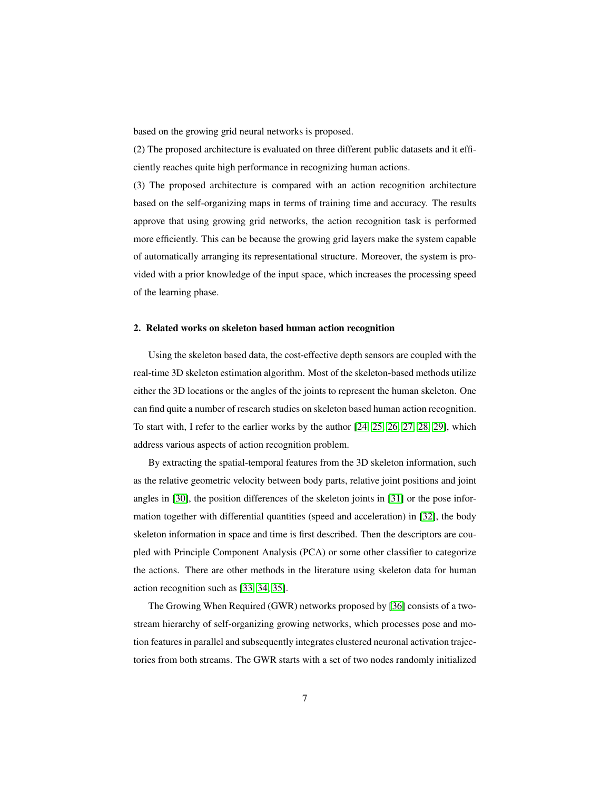based on the growing grid neural networks is proposed.

(2) The proposed architecture is evaluated on three different public datasets and it efficiently reaches quite high performance in recognizing human actions.

(3) The proposed architecture is compared with an action recognition architecture based on the self-organizing maps in terms of training time and accuracy. The results approve that using growing grid networks, the action recognition task is performed more efficiently. This can be because the growing grid layers make the system capable of automatically arranging its representational structure. Moreover, the system is provided with a prior knowledge of the input space, which increases the processing speed of the learning phase.

## 2. Related works on skeleton based human action recognition

Using the skeleton based data, the cost-effective depth sensors are coupled with the real-time 3D skeleton estimation algorithm. Most of the skeleton-based methods utilize either the 3D locations or the angles of the joints to represent the human skeleton. One can find quite a number of research studies on skeleton based human action recognition. To start with, I refer to the earlier works by the author [\[24,](#page-39-4) [25,](#page-39-5) [26,](#page-39-6) [27,](#page-39-7) [28,](#page-40-0) [29\]](#page-40-1), which address various aspects of action recognition problem.

By extracting the spatial-temporal features from the 3D skeleton information, such as the relative geometric velocity between body parts, relative joint positions and joint angles in [\[30\]](#page-40-2), the position differences of the skeleton joints in [\[31\]](#page-40-3) or the pose information together with differential quantities (speed and acceleration) in [\[32\]](#page-40-4), the body skeleton information in space and time is first described. Then the descriptors are coupled with Principle Component Analysis (PCA) or some other classifier to categorize the actions. There are other methods in the literature using skeleton data for human action recognition such as [\[33,](#page-40-5) [34,](#page-40-6) [35\]](#page-40-7).

The Growing When Required (GWR) networks proposed by [\[36\]](#page-40-8) consists of a twostream hierarchy of self-organizing growing networks, which processes pose and motion features in parallel and subsequently integrates clustered neuronal activation trajectories from both streams. The GWR starts with a set of two nodes randomly initialized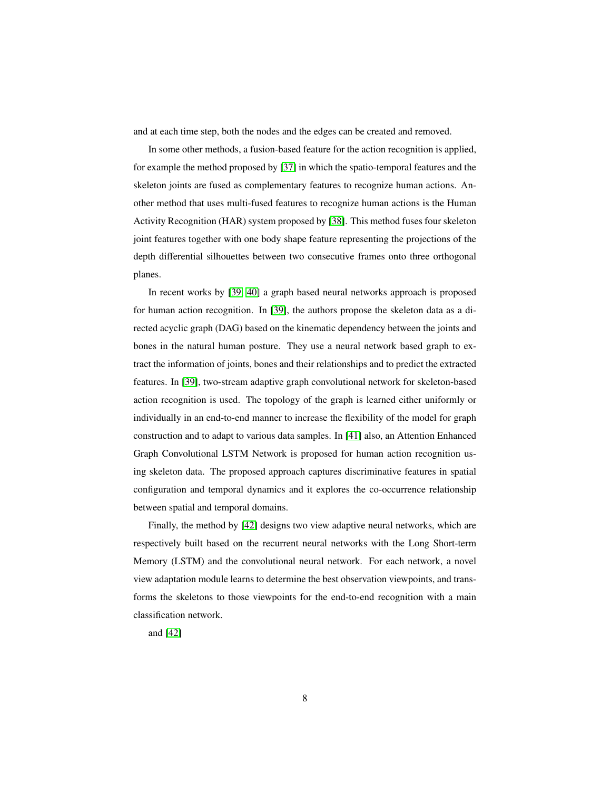and at each time step, both the nodes and the edges can be created and removed.

In some other methods, a fusion-based feature for the action recognition is applied, for example the method proposed by [\[37\]](#page-41-0) in which the spatio-temporal features and the skeleton joints are fused as complementary features to recognize human actions. Another method that uses multi-fused features to recognize human actions is the Human Activity Recognition (HAR) system proposed by [\[38\]](#page-41-1). This method fuses four skeleton joint features together with one body shape feature representing the projections of the depth differential silhouettes between two consecutive frames onto three orthogonal planes.

In recent works by [\[39,](#page-41-2) [40\]](#page-41-3) a graph based neural networks approach is proposed for human action recognition. In [\[39\]](#page-41-2), the authors propose the skeleton data as a directed acyclic graph (DAG) based on the kinematic dependency between the joints and bones in the natural human posture. They use a neural network based graph to extract the information of joints, bones and their relationships and to predict the extracted features. In [\[39\]](#page-41-2), two-stream adaptive graph convolutional network for skeleton-based action recognition is used. The topology of the graph is learned either uniformly or individually in an end-to-end manner to increase the flexibility of the model for graph construction and to adapt to various data samples. In [\[41\]](#page-41-4) also, an Attention Enhanced Graph Convolutional LSTM Network is proposed for human action recognition using skeleton data. The proposed approach captures discriminative features in spatial configuration and temporal dynamics and it explores the co-occurrence relationship between spatial and temporal domains.

Finally, the method by [\[42\]](#page-41-5) designs two view adaptive neural networks, which are respectively built based on the recurrent neural networks with the Long Short-term Memory (LSTM) and the convolutional neural network. For each network, a novel view adaptation module learns to determine the best observation viewpoints, and transforms the skeletons to those viewpoints for the end-to-end recognition with a main classification network.

and [\[42\]](#page-41-5)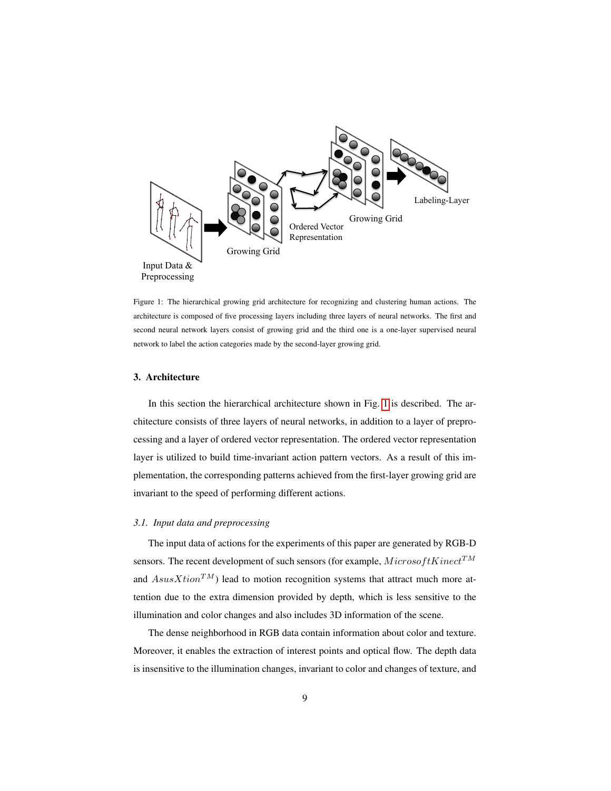<span id="page-8-0"></span>

Figure 1: The hierarchical growing grid architecture for recognizing and clustering human actions. The architecture is composed of five processing layers including three layers of neural networks. The first and second neural network layers consist of growing grid and the third one is a one-layer supervised neural network to label the action categories made by the second-layer growing grid.

## 3. Architecture

In this section the hierarchical architecture shown in Fig. [1](#page-8-0) is described. The architecture consists of three layers of neural networks, in addition to a layer of preprocessing and a layer of ordered vector representation. The ordered vector representation layer is utilized to build time-invariant action pattern vectors. As a result of this implementation, the corresponding patterns achieved from the first-layer growing grid are invariant to the speed of performing different actions.

# *3.1. Input data and preprocessing*

The input data of actions for the experiments of this paper are generated by RGB-D sensors. The recent development of such sensors (for example,  $MicrosoftKinect^{TM}$ and  $AssusXtion^{TM}$ ) lead to motion recognition systems that attract much more attention due to the extra dimension provided by depth, which is less sensitive to the illumination and color changes and also includes 3D information of the scene.

The dense neighborhood in RGB data contain information about color and texture. Moreover, it enables the extraction of interest points and optical flow. The depth data is insensitive to the illumination changes, invariant to color and changes of texture, and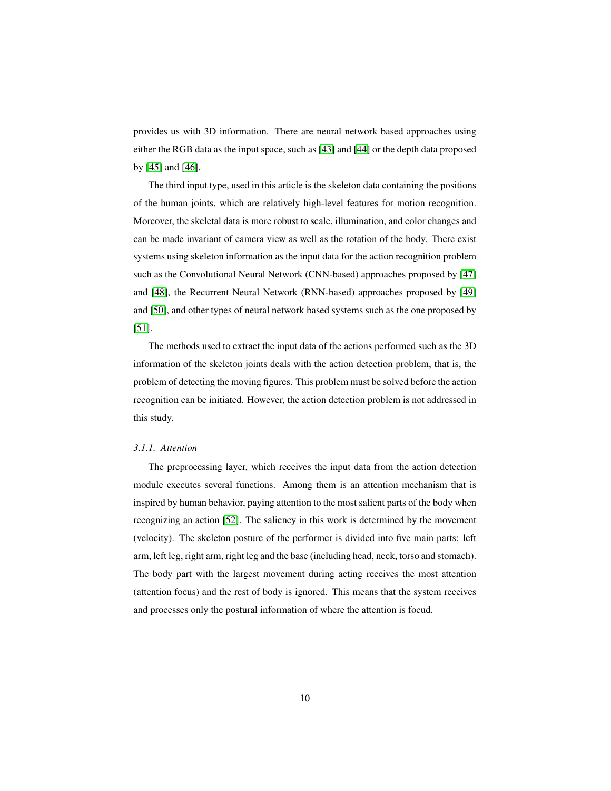provides us with 3D information. There are neural network based approaches using either the RGB data as the input space, such as [\[43\]](#page-41-6) and [\[44\]](#page-41-7) or the depth data proposed by [\[45\]](#page-41-8) and [\[46\]](#page-42-0).

The third input type, used in this article is the skeleton data containing the positions of the human joints, which are relatively high-level features for motion recognition. Moreover, the skeletal data is more robust to scale, illumination, and color changes and can be made invariant of camera view as well as the rotation of the body. There exist systems using skeleton information as the input data for the action recognition problem such as the Convolutional Neural Network (CNN-based) approaches proposed by [\[47\]](#page-42-1) and [\[48\]](#page-42-2), the Recurrent Neural Network (RNN-based) approaches proposed by [\[49\]](#page-42-3) and [\[50\]](#page-42-4), and other types of neural network based systems such as the one proposed by [\[51\]](#page-42-5).

The methods used to extract the input data of the actions performed such as the 3D information of the skeleton joints deals with the action detection problem, that is, the problem of detecting the moving figures. This problem must be solved before the action recognition can be initiated. However, the action detection problem is not addressed in this study.

#### *3.1.1. Attention*

The preprocessing layer, which receives the input data from the action detection module executes several functions. Among them is an attention mechanism that is inspired by human behavior, paying attention to the most salient parts of the body when recognizing an action [\[52\]](#page-42-6). The saliency in this work is determined by the movement (velocity). The skeleton posture of the performer is divided into five main parts: left arm, left leg, right arm, right leg and the base (including head, neck, torso and stomach). The body part with the largest movement during acting receives the most attention (attention focus) and the rest of body is ignored. This means that the system receives and processes only the postural information of where the attention is focud.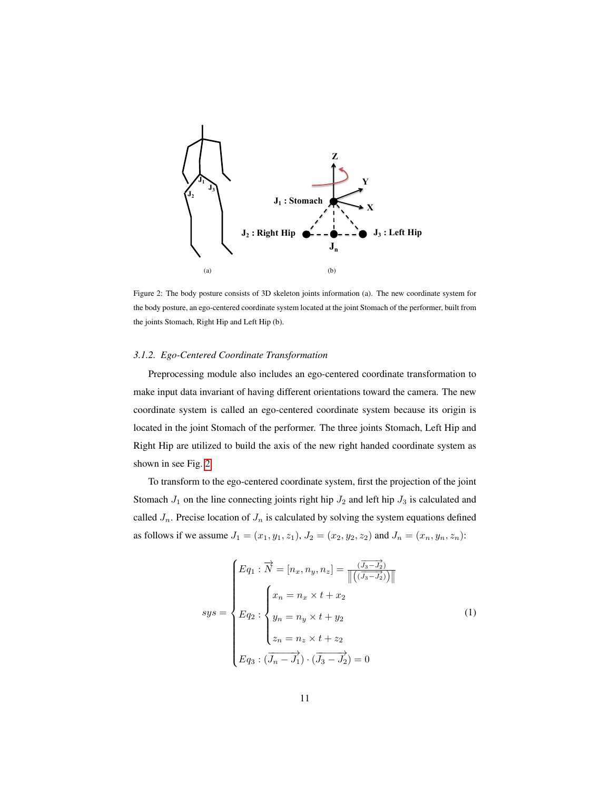<span id="page-10-0"></span>

Figure 2: The body posture consists of 3D skeleton joints information (a). The new coordinate system for the body posture, an ego-centered coordinate system located at the joint Stomach of the performer, built from the joints Stomach, Right Hip and Left Hip (b).

#### *3.1.2. Ego-Centered Coordinate Transformation*

Preprocessing module also includes an ego-centered coordinate transformation to make input data invariant of having different orientations toward the camera. The new coordinate system is called an ego-centered coordinate system because its origin is located in the joint Stomach of the performer. The three joints Stomach, Left Hip and Right Hip are utilized to build the axis of the new right handed coordinate system as shown in see Fig. [2.](#page-10-0)

<span id="page-10-1"></span>To transform to the ego-centered coordinate system, first the projection of the joint Stomach  $J_1$  on the line connecting joints right hip  $J_2$  and left hip  $J_3$  is calculated and called  $J_n$ . Precise location of  $J_n$  is calculated by solving the system equations defined as follows if we assume  $J_1 = (x_1, y_1, z_1), J_2 = (x_2, y_2, z_2)$  and  $J_n = (x_n, y_n, z_n)$ :

$$
sys = \begin{cases} Eq_1 : \overrightarrow{N} = [n_x, n_y, n_z] = \frac{(\overrightarrow{J_3} - \overrightarrow{J_2})}{\|((\overrightarrow{J_3} - \overrightarrow{J_2}))\|} \\ \xrightarrow{Eq_2} : \begin{cases} x_n = n_x \times t + x_2 \\ y_n = n_y \times t + y_2 \\ z_n = n_z \times t + z_2 \\ Eq_3 : (\overrightarrow{J_n} - \overrightarrow{J_1}) \cdot (\overrightarrow{J_3} - \overrightarrow{J_2}) = 0 \end{cases} \end{cases} \tag{1}
$$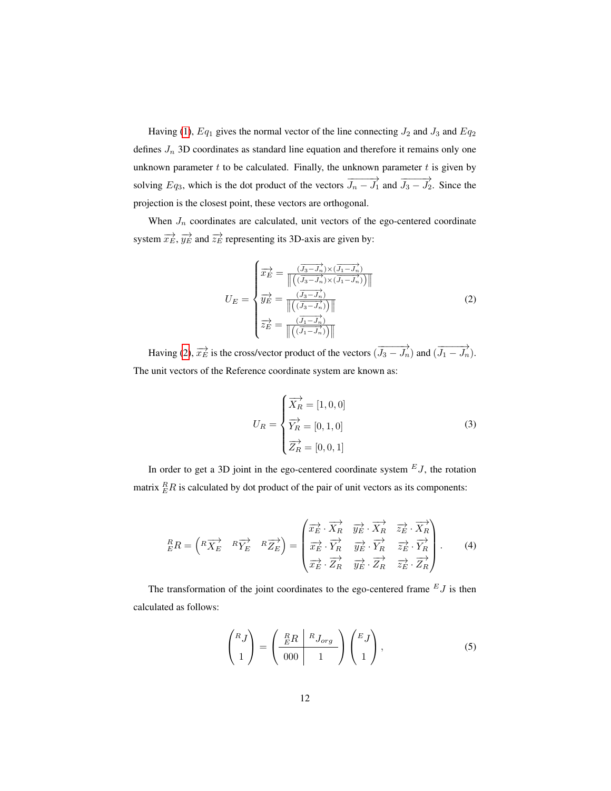Having [\(1\)](#page-10-1),  $Eq_1$  gives the normal vector of the line connecting  $J_2$  and  $J_3$  and  $Eq_2$ defines  $J_n$  3D coordinates as standard line equation and therefore it remains only one unknown parameter  $t$  to be calculated. Finally, the unknown parameter  $t$  is given by solving  $Eq_3$ , which is the dot product of the vectors  $\overrightarrow{J_n - J_1}$  and  $\overrightarrow{J_3 - J_2}$ . Since the projection is the closest point, these vectors are orthogonal.

<span id="page-11-0"></span>When  $J_n$  coordinates are calculated, unit vectors of the ego-centered coordinate system  $\overrightarrow{x_E}$ ,  $\overrightarrow{y_E}$  and  $\overrightarrow{z_E}$  representing its 3D-axis are given by:

$$
U_E = \begin{cases} \n\overrightarrow{x_E} = \frac{(\overrightarrow{J_3} - \overrightarrow{J_n}) \times (\overrightarrow{J_1} - \overrightarrow{J_n})}{\left\| \left( (\overrightarrow{J_3} - \overrightarrow{J_n}) \times (\overrightarrow{J_1} - \overrightarrow{J_n}) \right) \right\|} \\ \n\overrightarrow{y_E} = \frac{(\overrightarrow{J_3} - \overrightarrow{J_n})}{\left\| \left( (\overrightarrow{J_3} - \overrightarrow{J_n}) \right) \right\|} \\ \n\overrightarrow{z_E} = \frac{(\overrightarrow{J_1} - \overrightarrow{J_n})}{\left\| \left( (\overrightarrow{J_1} - \overrightarrow{J_n}) \right) \right\|} \n\end{cases} \n\tag{2}
$$

Having [\(2\)](#page-11-0),  $\overrightarrow{x_E}$  is the cross/vector product of the vectors  $(\overrightarrow{J_3-J_n})$  and  $(\overrightarrow{J_1-J_n})$ . The unit vectors of the Reference coordinate system are known as:

$$
U_R = \begin{cases} \overrightarrow{X_R} = [1, 0, 0] \\ \overrightarrow{Y_R} = [0, 1, 0] \\ \overrightarrow{Z_R} = [0, 0, 1] \end{cases}
$$
(3)

In order to get a 3D joint in the ego-centered coordinate system  $E_J$ , the rotation matrix  ${}_{E}^{R}R$  is calculated by dot product of the pair of unit vectors as its components:

$$
{}_{E}^{R}R = \begin{pmatrix} R\overrightarrow{X}_{E} & R\overrightarrow{Y}_{E} & R\overrightarrow{Z}_{E} \end{pmatrix} = \begin{pmatrix} \overrightarrow{x}_{E} & \overrightarrow{X}_{R} & \overrightarrow{y}_{E} & \overrightarrow{X}_{R} & \overrightarrow{z}_{E} & \overrightarrow{X}_{R} \\ \overrightarrow{x}_{E} & \overrightarrow{Y}_{R} & \overrightarrow{y}_{E} & \overrightarrow{Y}_{R} & \overrightarrow{z}_{E} & \overrightarrow{Y}_{R} \\ \overrightarrow{x}_{E} & \overrightarrow{Z}_{R} & \overrightarrow{y}_{E} & \overrightarrow{Z}_{R} & \overrightarrow{z}_{E} & \overrightarrow{Z}_{R} \end{pmatrix}.
$$
 (4)

<span id="page-11-1"></span>The transformation of the joint coordinates to the ego-centered frame  $E_J$  is then calculated as follows:

$$
\begin{pmatrix} R_J \\ 1 \end{pmatrix} = \begin{pmatrix} \frac{R}{E}R & RJ_{org} \\ 000 & 1 \end{pmatrix} \begin{pmatrix} E_J \\ 1 \end{pmatrix},
$$
 (5)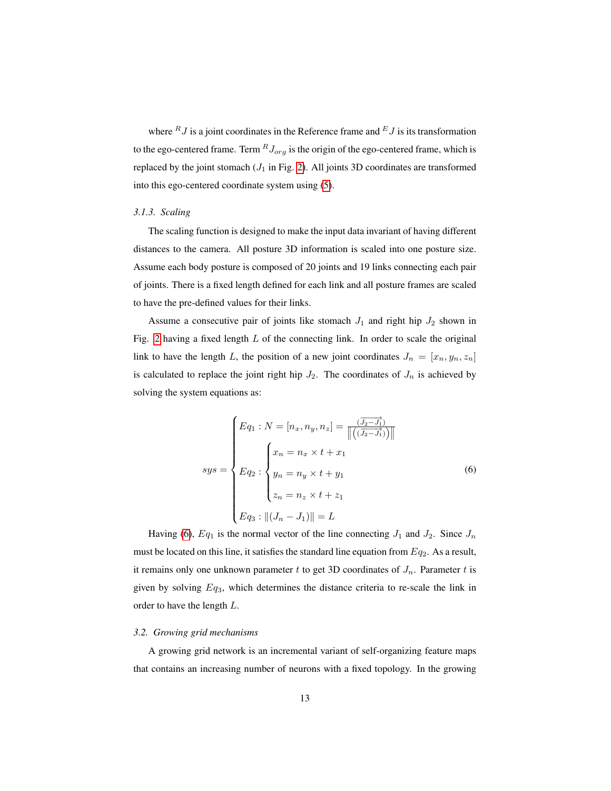where  $RJ$  is a joint coordinates in the Reference frame and  $EJ$  is its transformation to the ego-centered frame. Term  ${}^R J_{org}$  is the origin of the ego-centered frame, which is replaced by the joint stomach  $(J_1$  in Fig. [2\)](#page-10-0). All joints 3D coordinates are transformed into this ego-centered coordinate system using [\(5\)](#page-11-1).

## *3.1.3. Scaling*

The scaling function is designed to make the input data invariant of having different distances to the camera. All posture 3D information is scaled into one posture size. Assume each body posture is composed of 20 joints and 19 links connecting each pair of joints. There is a fixed length defined for each link and all posture frames are scaled to have the pre-defined values for their links.

Assume a consecutive pair of joints like stomach  $J_1$  and right hip  $J_2$  shown in Fig. [2](#page-10-0) having a fixed length  $L$  of the connecting link. In order to scale the original link to have the length L, the position of a new joint coordinates  $J_n = [x_n, y_n, z_n]$ is calculated to replace the joint right hip  $J_2$ . The coordinates of  $J_n$  is achieved by solving the system equations as:

<span id="page-12-0"></span>
$$
sys = \begin{cases} Eq_1 : N = [n_x, n_y, n_z] = \frac{(\overrightarrow{J_2 - J_1})}{\|((\overrightarrow{J_2 - J_1}))\|} \\ \xrightarrow{f} \qquad \qquad \text{for } j = n_x \times t + x_1 \\ y_n = n_y \times t + y_1 \\ z_n = n_z \times t + z_1 \\ \xrightarrow{Eq_3 : ||(J_n - J_1)||} = L \end{cases} \tag{6}
$$

Having [\(6\)](#page-12-0),  $Eq_1$  is the normal vector of the line connecting  $J_1$  and  $J_2$ . Since  $J_n$ must be located on this line, it satisfies the standard line equation from  $Eq_2$ . As a result, it remains only one unknown parameter t to get 3D coordinates of  $J_n$ . Parameter t is given by solving  $Eq_3$ , which determines the distance criteria to re-scale the link in order to have the length L.

#### *3.2. Growing grid mechanisms*

A growing grid network is an incremental variant of self-organizing feature maps that contains an increasing number of neurons with a fixed topology. In the growing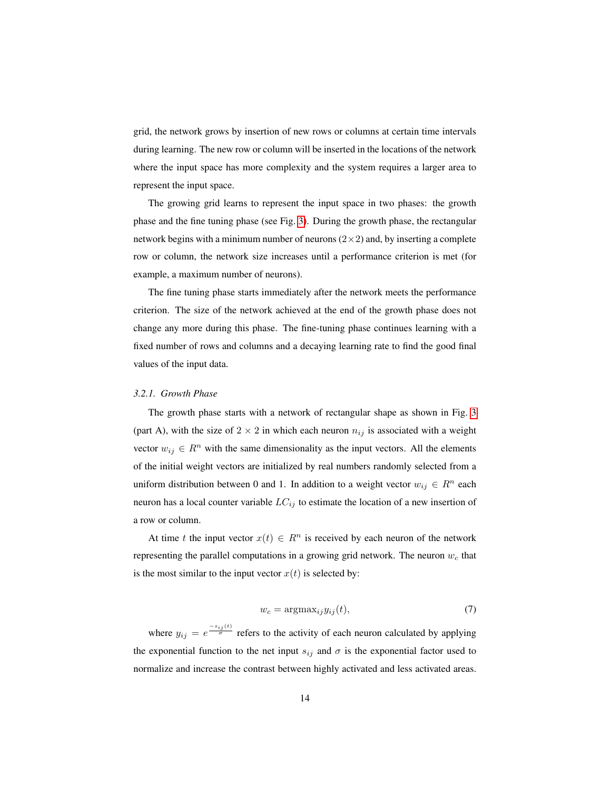grid, the network grows by insertion of new rows or columns at certain time intervals during learning. The new row or column will be inserted in the locations of the network where the input space has more complexity and the system requires a larger area to represent the input space.

The growing grid learns to represent the input space in two phases: the growth phase and the fine tuning phase (see Fig. [3\)](#page-14-0). During the growth phase, the rectangular network begins with a minimum number of neurons  $(2\times 2)$  and, by inserting a complete row or column, the network size increases until a performance criterion is met (for example, a maximum number of neurons).

The fine tuning phase starts immediately after the network meets the performance criterion. The size of the network achieved at the end of the growth phase does not change any more during this phase. The fine-tuning phase continues learning with a fixed number of rows and columns and a decaying learning rate to find the good final values of the input data.

# <span id="page-13-0"></span>*3.2.1. Growth Phase*

The growth phase starts with a network of rectangular shape as shown in Fig. [3](#page-14-0) (part A), with the size of  $2 \times 2$  in which each neuron  $n_{ij}$  is associated with a weight vector  $w_{ij} \in R^n$  with the same dimensionality as the input vectors. All the elements of the initial weight vectors are initialized by real numbers randomly selected from a uniform distribution between 0 and 1. In addition to a weight vector  $w_{ij} \in R^n$  each neuron has a local counter variable  $LC_{ij}$  to estimate the location of a new insertion of a row or column.

At time t the input vector  $x(t) \in R^n$  is received by each neuron of the network representing the parallel computations in a growing grid network. The neuron  $w_c$  that is the most similar to the input vector  $x(t)$  is selected by:

$$
w_c = \operatorname{argmax}_{ij} y_{ij}(t),\tag{7}
$$

where  $y_{ij} = e^{\frac{-s_{ij}(t)}{\sigma}}$  refers to the activity of each neuron calculated by applying the exponential function to the net input  $s_{ij}$  and  $\sigma$  is the exponential factor used to normalize and increase the contrast between highly activated and less activated areas.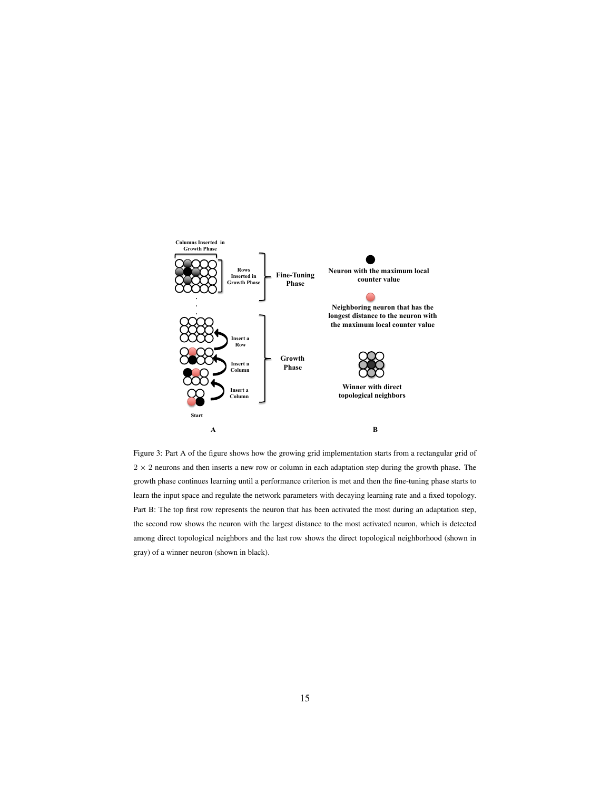<span id="page-14-0"></span>

Figure 3: Part A of the figure shows how the growing grid implementation starts from a rectangular grid of  $2 \times 2$  neurons and then inserts a new row or column in each adaptation step during the growth phase. The growth phase continues learning until a performance criterion is met and then the fine-tuning phase starts to learn the input space and regulate the network parameters with decaying learning rate and a fixed topology. Part B: The top first row represents the neuron that has been activated the most during an adaptation step, the second row shows the neuron with the largest distance to the most activated neuron, which is detected among direct topological neighbors and the last row shows the direct topological neighborhood (shown in gray) of a winner neuron (shown in black).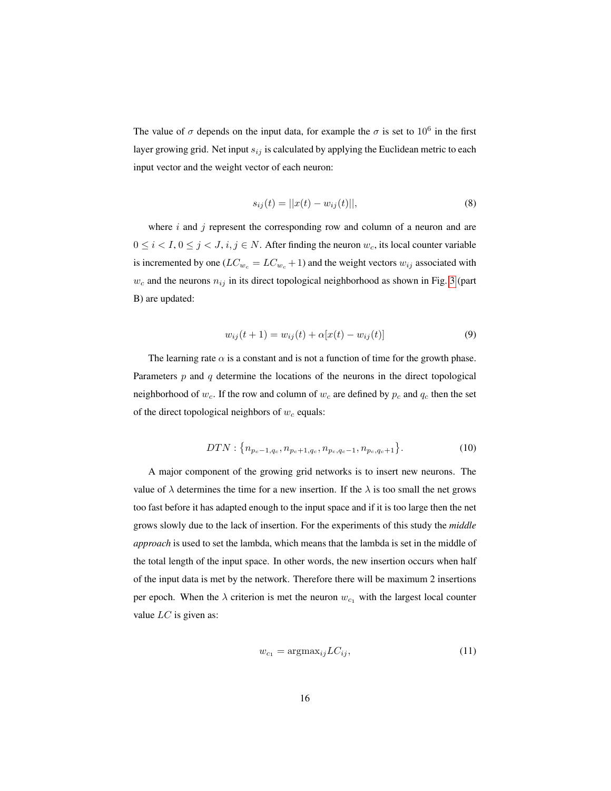The value of  $\sigma$  depends on the input data, for example the  $\sigma$  is set to  $10^6$  in the first layer growing grid. Net input  $s_{ij}$  is calculated by applying the Euclidean metric to each input vector and the weight vector of each neuron:

$$
s_{ij}(t) = ||x(t) - w_{ij}(t)||,
$$
\n(8)

where  $i$  and  $j$  represent the corresponding row and column of a neuron and are  $0 \le i < I, 0 \le j < J, i, j \in N$ . After finding the neuron  $w_c$ , its local counter variable is incremented by one ( $LC_{w_c} = LC_{w_c} + 1$ ) and the weight vectors  $w_{ij}$  associated with  $w_c$  and the neurons  $n_{ij}$  in its direct topological neighborhood as shown in Fig. [3](#page-14-0) (part B) are updated:

$$
w_{ij}(t+1) = w_{ij}(t) + \alpha[x(t) - w_{ij}(t)]
$$
\n(9)

The learning rate  $\alpha$  is a constant and is not a function of time for the growth phase. Parameters  $p$  and  $q$  determine the locations of the neurons in the direct topological neighborhood of  $w_c$ . If the row and column of  $w_c$  are defined by  $p_c$  and  $q_c$  then the set of the direct topological neighbors of  $w_c$  equals:

$$
DTN: \{n_{p_c-1,q_c}, n_{p_c+1,q_c}, n_{p_c,q_c-1}, n_{p_c,q_c+1}\}.
$$
 (10)

A major component of the growing grid networks is to insert new neurons. The value of  $\lambda$  determines the time for a new insertion. If the  $\lambda$  is too small the net grows too fast before it has adapted enough to the input space and if it is too large then the net grows slowly due to the lack of insertion. For the experiments of this study the *middle approach* is used to set the lambda, which means that the lambda is set in the middle of the total length of the input space. In other words, the new insertion occurs when half of the input data is met by the network. Therefore there will be maximum 2 insertions per epoch. When the  $\lambda$  criterion is met the neuron  $w_{c_1}$  with the largest local counter value  $LC$  is given as:

$$
w_{c_1} = \operatorname{argmax}_{ij} LC_{ij},\tag{11}
$$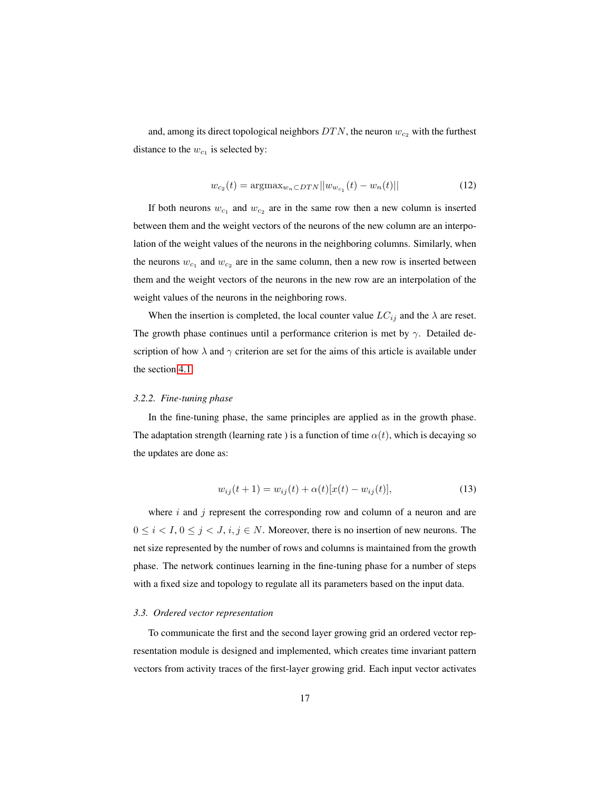and, among its direct topological neighbors  $DTN$ , the neuron  $w_{c_2}$  with the furthest distance to the  $w_{c_1}$  is selected by:

$$
w_{c_2}(t) = \operatorname{argmax}_{w_n \subset DTN} ||w_{w_{c_1}}(t) - w_n(t)|| \tag{12}
$$

If both neurons  $w_{c_1}$  and  $w_{c_2}$  are in the same row then a new column is inserted between them and the weight vectors of the neurons of the new column are an interpolation of the weight values of the neurons in the neighboring columns. Similarly, when the neurons  $w_{c_1}$  and  $w_{c_2}$  are in the same column, then a new row is inserted between them and the weight vectors of the neurons in the new row are an interpolation of the weight values of the neurons in the neighboring rows.

When the insertion is completed, the local counter value  $LC_{ij}$  and the  $\lambda$  are reset. The growth phase continues until a performance criterion is met by  $\gamma$ . Detailed description of how  $\lambda$  and  $\gamma$  criterion are set for the aims of this article is available under the section [4.1.](#page-20-0)

# *3.2.2. Fine-tuning phase*

In the fine-tuning phase, the same principles are applied as in the growth phase. The adaptation strength (learning rate) is a function of time  $\alpha(t)$ , which is decaying so the updates are done as:

$$
w_{ij}(t+1) = w_{ij}(t) + \alpha(t)[x(t) - w_{ij}(t)],
$$
\n(13)

where  $i$  and  $j$  represent the corresponding row and column of a neuron and are  $0 \le i < I, 0 \le j < J, i, j \in N$ . Moreover, there is no insertion of new neurons. The net size represented by the number of rows and columns is maintained from the growth phase. The network continues learning in the fine-tuning phase for a number of steps with a fixed size and topology to regulate all its parameters based on the input data.

#### *3.3. Ordered vector representation*

To communicate the first and the second layer growing grid an ordered vector representation module is designed and implemented, which creates time invariant pattern vectors from activity traces of the first-layer growing grid. Each input vector activates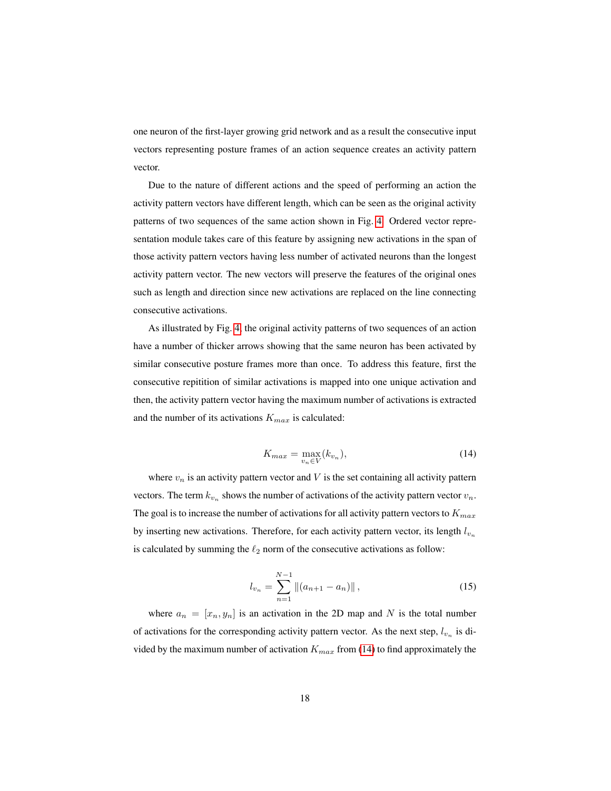one neuron of the first-layer growing grid network and as a result the consecutive input vectors representing posture frames of an action sequence creates an activity pattern vector.

Due to the nature of different actions and the speed of performing an action the activity pattern vectors have different length, which can be seen as the original activity patterns of two sequences of the same action shown in Fig. [4.](#page-19-0) Ordered vector representation module takes care of this feature by assigning new activations in the span of those activity pattern vectors having less number of activated neurons than the longest activity pattern vector. The new vectors will preserve the features of the original ones such as length and direction since new activations are replaced on the line connecting consecutive activations.

As illustrated by Fig. [4,](#page-19-0) the original activity patterns of two sequences of an action have a number of thicker arrows showing that the same neuron has been activated by similar consecutive posture frames more than once. To address this feature, first the consecutive repitition of similar activations is mapped into one unique activation and then, the activity pattern vector having the maximum number of activations is extracted and the number of its activations  $K_{max}$  is calculated:

$$
K_{max} = \max_{v_n \in V} (k_{v_n}),\tag{14}
$$

<span id="page-17-0"></span>where  $v_n$  is an activity pattern vector and V is the set containing all activity pattern vectors. The term  $k_{v_n}$  shows the number of activations of the activity pattern vector  $v_n$ . The goal is to increase the number of activations for all activity pattern vectors to  $K_{max}$ by inserting new activations. Therefore, for each activity pattern vector, its length  $l_{v_n}$ is calculated by summing the  $\ell_2$  norm of the consecutive activations as follow:

$$
l_{v_n} = \sum_{n=1}^{N-1} \left\| (a_{n+1} - a_n) \right\|,
$$
\n(15)

where  $a_n = [x_n, y_n]$  is an activation in the 2D map and N is the total number of activations for the corresponding activity pattern vector. As the next step,  $l_{v_n}$  is divided by the maximum number of activation  $K_{max}$  from [\(14\)](#page-17-0) to find approximately the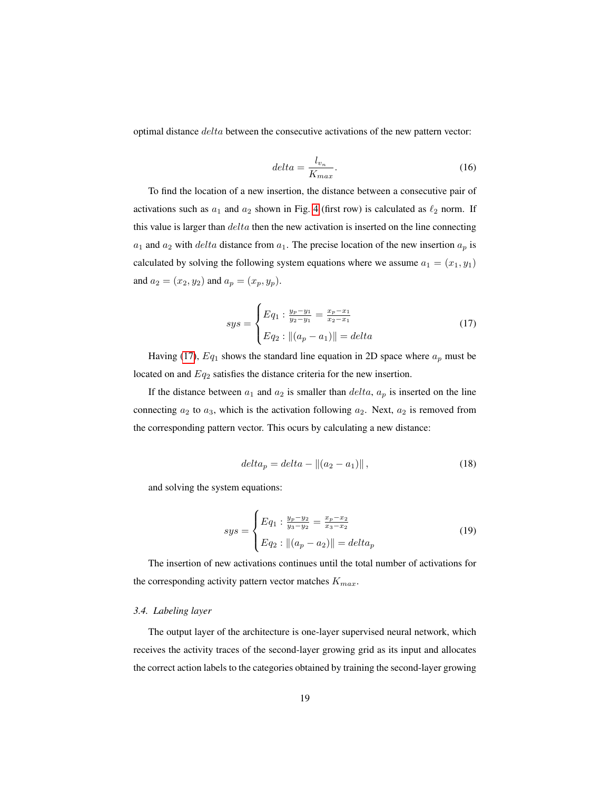optimal distance delta between the consecutive activations of the new pattern vector:

$$
delta = \frac{l_{v_n}}{K_{max}}.\t(16)
$$

To find the location of a new insertion, the distance between a consecutive pair of activations such as  $a_1$  and  $a_2$  shown in Fig. [4](#page-19-0) (first row) is calculated as  $\ell_2$  norm. If this value is larger than  $delta$  then the new activation is inserted on the line connecting  $a_1$  and  $a_2$  with *delta* distance from  $a_1$ . The precise location of the new insertion  $a_p$  is calculated by solving the following system equations where we assume  $a_1 = (x_1, y_1)$ and  $a_2 = (x_2, y_2)$  and  $a_p = (x_p, y_p)$ .

$$
sys = \begin{cases} Eq_1: \frac{y_p - y_1}{y_2 - y_1} = \frac{x_p - x_1}{x_2 - x_1} \\ Eq_2: ||(a_p - a_1)|| = delta \end{cases}
$$
(17)

<span id="page-18-0"></span>Having [\(17\)](#page-18-0),  $Eq_1$  shows the standard line equation in 2D space where  $a_p$  must be located on and  $Eq_2$  satisfies the distance criteria for the new insertion.

If the distance between  $a_1$  and  $a_2$  is smaller than  $delta$ ,  $a_p$  is inserted on the line connecting  $a_2$  to  $a_3$ , which is the activation following  $a_2$ . Next,  $a_2$  is removed from the corresponding pattern vector. This ocurs by calculating a new distance:

$$
delta_p = delta - ||(a_2 - a_1)||,
$$
\n(18)

and solving the system equations:

$$
sys = \begin{cases} Eq_1: \frac{y_p - y_2}{y_3 - y_2} = \frac{x_p - x_2}{x_3 - x_2} \\ Eq_2: ||(a_p - a_2)|| = delta_p \end{cases}
$$
(19)

The insertion of new activations continues until the total number of activations for the corresponding activity pattern vector matches  $K_{max}$ .

# *3.4. Labeling layer*

The output layer of the architecture is one-layer supervised neural network, which receives the activity traces of the second-layer growing grid as its input and allocates the correct action labels to the categories obtained by training the second-layer growing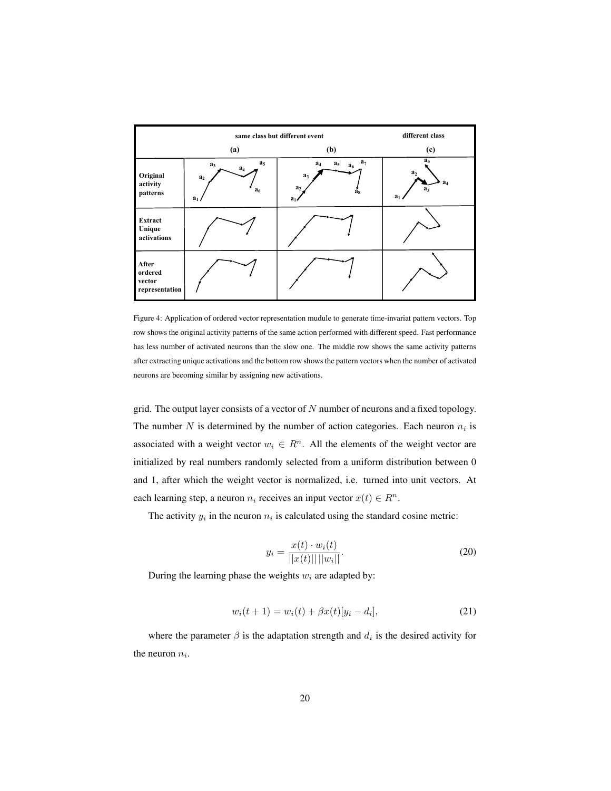<span id="page-19-0"></span>

|                                              | same class but different event                                                | different class                                                                                 |                                                                                        |  |
|----------------------------------------------|-------------------------------------------------------------------------------|-------------------------------------------------------------------------------------------------|----------------------------------------------------------------------------------------|--|
| (a)                                          |                                                                               | (b)                                                                                             | (c)                                                                                    |  |
| Original<br>activity<br>patterns             | $a_5$<br>a <sub>3</sub><br>$a_4$<br>a <sub>2</sub><br>a <sub>6</sub><br>$a_1$ | a <sub>7</sub><br>$a_5$<br>$a_4$<br>$a_6$<br>$a_3$<br>a <sub>2</sub><br>a <sub>s</sub><br>$a_1$ | a <sub>5</sub><br>a <sub>2</sub><br>a <sub>4</sub><br>a <sub>3</sub><br>a <sub>1</sub> |  |
| Extract<br>Unique<br>activations             |                                                                               |                                                                                                 |                                                                                        |  |
| After<br>ordered<br>vector<br>representation |                                                                               |                                                                                                 |                                                                                        |  |

Figure 4: Application of ordered vector representation mudule to generate time-invariat pattern vectors. Top row shows the original activity patterns of the same action performed with different speed. Fast performance has less number of activated neurons than the slow one. The middle row shows the same activity patterns after extracting unique activations and the bottom row shows the pattern vectors when the number of activated neurons are becoming similar by assigning new activations.

grid. The output layer consists of a vector of  $N$  number of neurons and a fixed topology. The number N is determined by the number of action categories. Each neuron  $n_i$  is associated with a weight vector  $w_i \in R^n$ . All the elements of the weight vector are initialized by real numbers randomly selected from a uniform distribution between 0 and 1, after which the weight vector is normalized, i.e. turned into unit vectors. At each learning step, a neuron  $n_i$  receives an input vector  $x(t) \in R^n$ .

The activity  $y_i$  in the neuron  $n_i$  is calculated using the standard cosine metric:

$$
y_i = \frac{x(t) \cdot w_i(t)}{||x(t)|| ||w_i||}.
$$
 (20)

During the learning phase the weights  $w_i$  are adapted by:

$$
w_i(t+1) = w_i(t) + \beta x(t)[y_i - d_i],
$$
\n(21)

where the parameter  $\beta$  is the adaptation strength and  $d_i$  is the desired activity for the neuron  $n_i$ .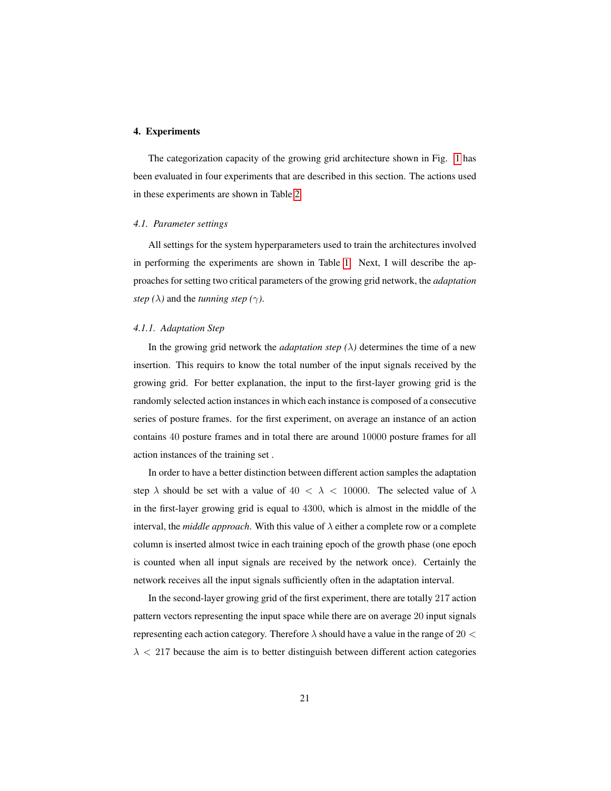## 4. Experiments

The categorization capacity of the growing grid architecture shown in Fig. [1](#page-8-0) has been evaluated in four experiments that are described in this section. The actions used in these experiments are shown in Table [2.](#page-24-0)

## <span id="page-20-0"></span>*4.1. Parameter settings*

All settings for the system hyperparameters used to train the architectures involved in performing the experiments are shown in Table [1.](#page-22-0) Next, I will describe the approaches for setting two critical parameters of the growing grid network, the *adaptation step* ( $\lambda$ ) and the *tunning step* ( $\gamma$ ).

## *4.1.1. Adaptation Step*

In the growing grid network the *adaptation step*  $(\lambda)$  determines the time of a new insertion. This requirs to know the total number of the input signals received by the growing grid. For better explanation, the input to the first-layer growing grid is the randomly selected action instances in which each instance is composed of a consecutive series of posture frames. for the first experiment, on average an instance of an action contains 40 posture frames and in total there are around 10000 posture frames for all action instances of the training set .

In order to have a better distinction between different action samples the adaptation step  $\lambda$  should be set with a value of  $40 < \lambda < 10000$ . The selected value of  $\lambda$ in the first-layer growing grid is equal to 4300, which is almost in the middle of the interval, the *middle approach*. With this value of  $\lambda$  either a complete row or a complete column is inserted almost twice in each training epoch of the growth phase (one epoch is counted when all input signals are received by the network once). Certainly the network receives all the input signals sufficiently often in the adaptation interval.

In the second-layer growing grid of the first experiment, there are totally 217 action pattern vectors representing the input space while there are on average 20 input signals representing each action category. Therefore  $\lambda$  should have a value in the range of 20  $\lt$  $\lambda$  < 217 because the aim is to better distinguish between different action categories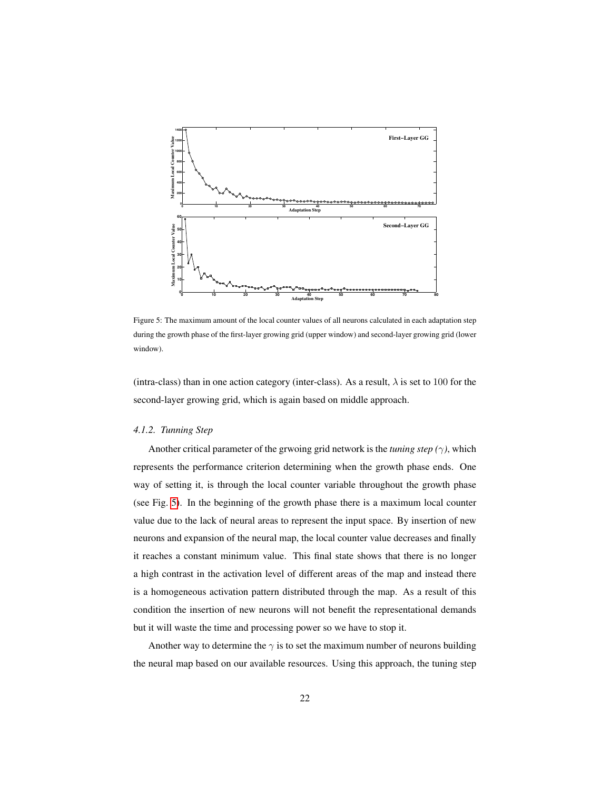<span id="page-21-0"></span>

Figure 5: The maximum amount of the local counter values of all neurons calculated in each adaptation step during the growth phase of the first-layer growing grid (upper window) and second-layer growing grid (lower window).

(intra-class) than in one action category (inter-class). As a result,  $\lambda$  is set to 100 for the second-layer growing grid, which is again based on middle approach.

#### *4.1.2. Tunning Step*

Another critical parameter of the grwoing grid network is the *tuning step (*γ*)*, which represents the performance criterion determining when the growth phase ends. One way of setting it, is through the local counter variable throughout the growth phase (see Fig. [5\)](#page-21-0). In the beginning of the growth phase there is a maximum local counter value due to the lack of neural areas to represent the input space. By insertion of new neurons and expansion of the neural map, the local counter value decreases and finally it reaches a constant minimum value. This final state shows that there is no longer a high contrast in the activation level of different areas of the map and instead there is a homogeneous activation pattern distributed through the map. As a result of this condition the insertion of new neurons will not benefit the representational demands but it will waste the time and processing power so we have to stop it.

Another way to determine the  $\gamma$  is to set the maximum number of neurons building the neural map based on our available resources. Using this approach, the tuning step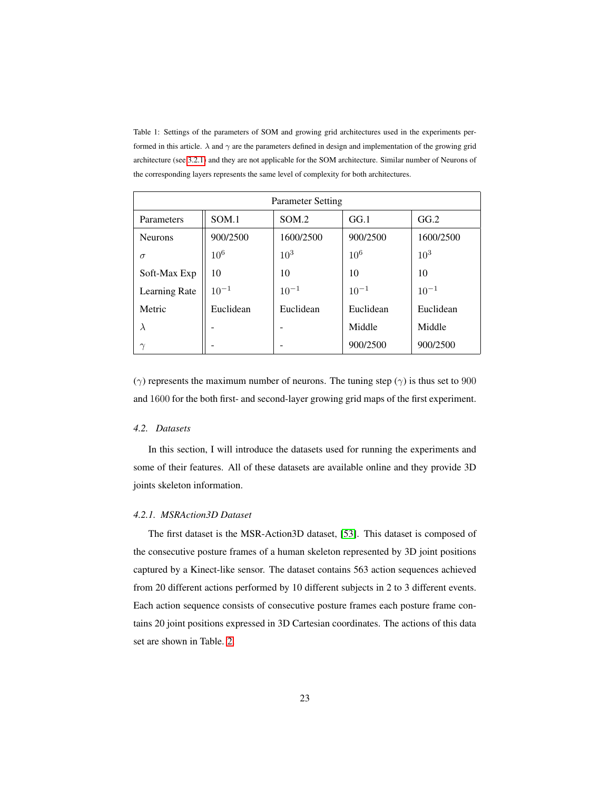<span id="page-22-0"></span>Table 1: Settings of the parameters of SOM and growing grid architectures used in the experiments performed in this article.  $\lambda$  and  $\gamma$  are the parameters defined in design and implementation of the growing grid architecture (see [3.2.1\)](#page-13-0) and they are not applicable for the SOM architecture. Similar number of Neurons of the corresponding layers represents the same level of complexity for both architectures.

| <b>Parameter Setting</b> |           |           |                 |           |  |
|--------------------------|-----------|-----------|-----------------|-----------|--|
| Parameters               | SOM.1     | SOM.2     | GG.1            | GG.2      |  |
| <b>Neurons</b>           | 900/2500  | 1600/2500 | 900/2500        | 1600/2500 |  |
| $\sigma$                 | $10^6$    | $10^{3}$  | 10 <sup>6</sup> | $10^{3}$  |  |
| Soft-Max Exp             | 10        | 10        | 10              | 10        |  |
| Learning Rate            | $10^{-1}$ | $10^{-1}$ | $10^{-1}$       | $10^{-1}$ |  |
| Metric                   | Euclidean | Euclidean | Euclidean       | Euclidean |  |
| $\lambda$                |           |           | Middle          | Middle    |  |
| $\sim$                   |           |           | 900/2500        | 900/2500  |  |

( $γ$ ) represents the maximum number of neurons. The tuning step ( $γ$ ) is thus set to 900 and 1600 for the both first- and second-layer growing grid maps of the first experiment.

# *4.2. Datasets*

In this section, I will introduce the datasets used for running the experiments and some of their features. All of these datasets are available online and they provide 3D joints skeleton information.

# *4.2.1. MSRAction3D Dataset*

The first dataset is the MSR-Action3D dataset, [\[53\]](#page-42-7). This dataset is composed of the consecutive posture frames of a human skeleton represented by 3D joint positions captured by a Kinect-like sensor. The dataset contains 563 action sequences achieved from 20 different actions performed by 10 different subjects in 2 to 3 different events. Each action sequence consists of consecutive posture frames each posture frame contains 20 joint positions expressed in 3D Cartesian coordinates. The actions of this data set are shown in Table. [2.](#page-24-0)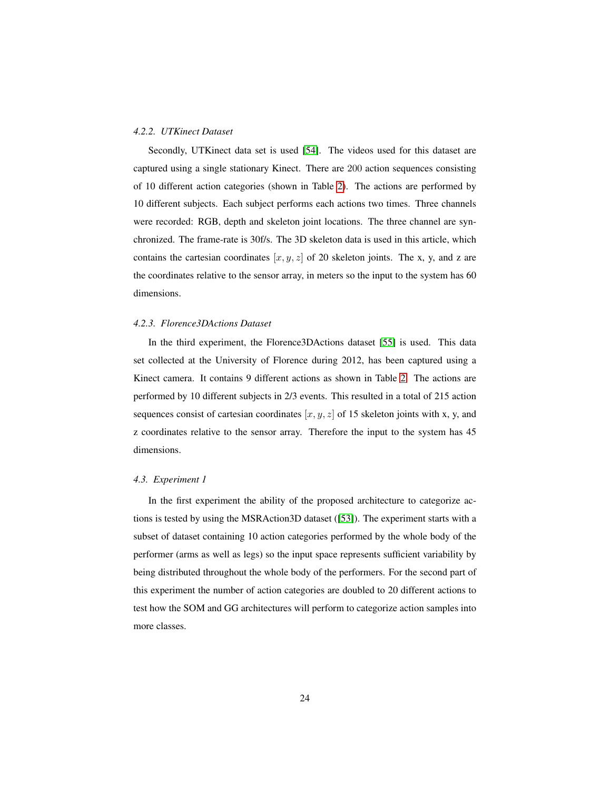## *4.2.2. UTKinect Dataset*

Secondly, UTKinect data set is used [\[54\]](#page-43-0). The videos used for this dataset are captured using a single stationary Kinect. There are 200 action sequences consisting of 10 different action categories (shown in Table [2\)](#page-24-0). The actions are performed by 10 different subjects. Each subject performs each actions two times. Three channels were recorded: RGB, depth and skeleton joint locations. The three channel are synchronized. The frame-rate is 30f/s. The 3D skeleton data is used in this article, which contains the cartesian coordinates  $[x, y, z]$  of 20 skeleton joints. The x, y, and z are the coordinates relative to the sensor array, in meters so the input to the system has 60 dimensions.

#### *4.2.3. Florence3DActions Dataset*

In the third experiment, the Florence3DActions dataset [\[55\]](#page-43-1) is used. This data set collected at the University of Florence during 2012, has been captured using a Kinect camera. It contains 9 different actions as shown in Table [2.](#page-24-0) The actions are performed by 10 different subjects in 2/3 events. This resulted in a total of 215 action sequences consist of cartesian coordinates  $[x, y, z]$  of 15 skeleton joints with x, y, and z coordinates relative to the sensor array. Therefore the input to the system has 45 dimensions.

#### *4.3. Experiment 1*

In the first experiment the ability of the proposed architecture to categorize actions is tested by using the MSRAction3D dataset ([\[53\]](#page-42-7)). The experiment starts with a subset of dataset containing 10 action categories performed by the whole body of the performer (arms as well as legs) so the input space represents sufficient variability by being distributed throughout the whole body of the performers. For the second part of this experiment the number of action categories are doubled to 20 different actions to test how the SOM and GG architectures will perform to categorize action samples into more classes.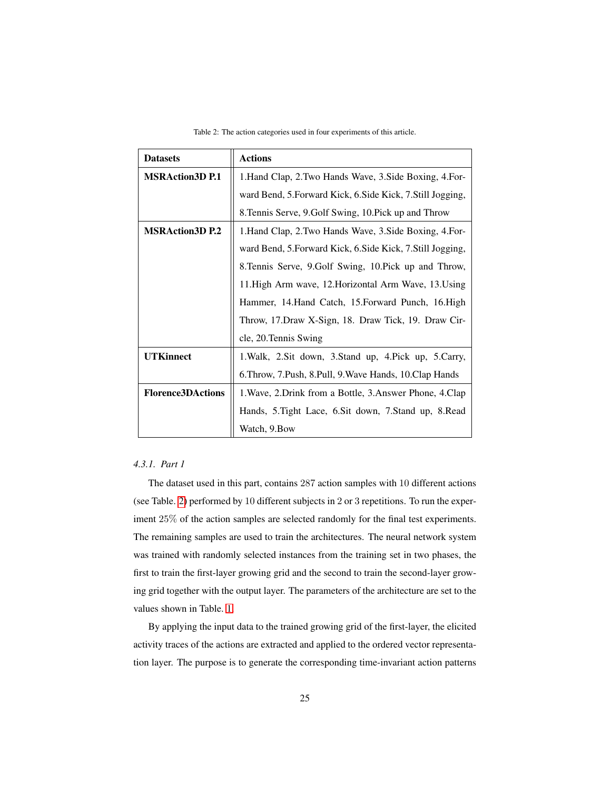Table 2: The action categories used in four experiments of this article.

<span id="page-24-0"></span>

| <b>Datasets</b>          | <b>Actions</b>                                              |  |  |
|--------------------------|-------------------------------------------------------------|--|--|
| <b>MSRAction3D P.1</b>   | 1. Hand Clap, 2. Two Hands Wave, 3. Side Boxing, 4. For-    |  |  |
|                          | ward Bend, 5. Forward Kick, 6. Side Kick, 7. Still Jogging, |  |  |
|                          | 8. Tennis Serve, 9. Golf Swing, 10. Pick up and Throw       |  |  |
| <b>MSRAction3D P.2</b>   | 1. Hand Clap, 2. Two Hands Wave, 3. Side Boxing, 4. For-    |  |  |
|                          | ward Bend, 5. Forward Kick, 6. Side Kick, 7. Still Jogging, |  |  |
|                          | 8. Tennis Serve, 9. Golf Swing, 10. Pick up and Throw,      |  |  |
|                          | 11. High Arm wave, 12. Horizontal Arm Wave, 13. Using       |  |  |
|                          | Hammer, 14.Hand Catch, 15.Forward Punch, 16.High            |  |  |
|                          | Throw, 17. Draw X-Sign, 18. Draw Tick, 19. Draw Cir-        |  |  |
|                          | cle, 20. Tennis Swing                                       |  |  |
| <b>UTKinnect</b>         | 1. Walk, 2. Sit down, 3. Stand up, 4. Pick up, 5. Carry,    |  |  |
|                          | 6. Throw, 7. Push, 8. Pull, 9. Wave Hands, 10. Clap Hands   |  |  |
| <b>Florence3DActions</b> | 1. Wave, 2. Drink from a Bottle, 3. Answer Phone, 4. Clap   |  |  |
|                          | Hands, 5. Tight Lace, 6. Sit down, 7. Stand up, 8. Read     |  |  |
|                          | Watch, 9.Bow                                                |  |  |

# <span id="page-24-1"></span>*4.3.1. Part 1*

The dataset used in this part, contains 287 action samples with 10 different actions (see Table. [2\)](#page-24-0) performed by 10 different subjects in 2 or 3 repetitions. To run the experiment 25% of the action samples are selected randomly for the final test experiments. The remaining samples are used to train the architectures. The neural network system was trained with randomly selected instances from the training set in two phases, the first to train the first-layer growing grid and the second to train the second-layer growing grid together with the output layer. The parameters of the architecture are set to the values shown in Table. [1.](#page-22-0)

By applying the input data to the trained growing grid of the first-layer, the elicited activity traces of the actions are extracted and applied to the ordered vector representation layer. The purpose is to generate the corresponding time-invariant action patterns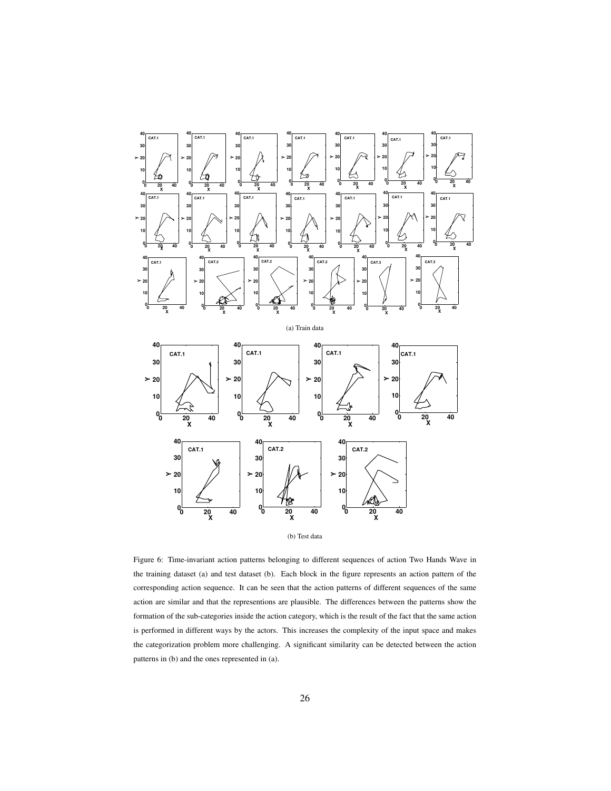<span id="page-25-0"></span>



Figure 6: Time-invariant action patterns belonging to different sequences of action Two Hands Wave in the training dataset (a) and test dataset (b). Each block in the figure represents an action pattern of the corresponding action sequence. It can be seen that the action patterns of different sequences of the same action are similar and that the representions are plausible. The differences between the patterns show the formation of the sub-categories inside the action category, which is the result of the fact that the same action is performed in different ways by the actors. This increases the complexity of the input space and makes the categorization problem more challenging. A significant similarity can be detected between the action patterns in (b) and the ones represented in (a).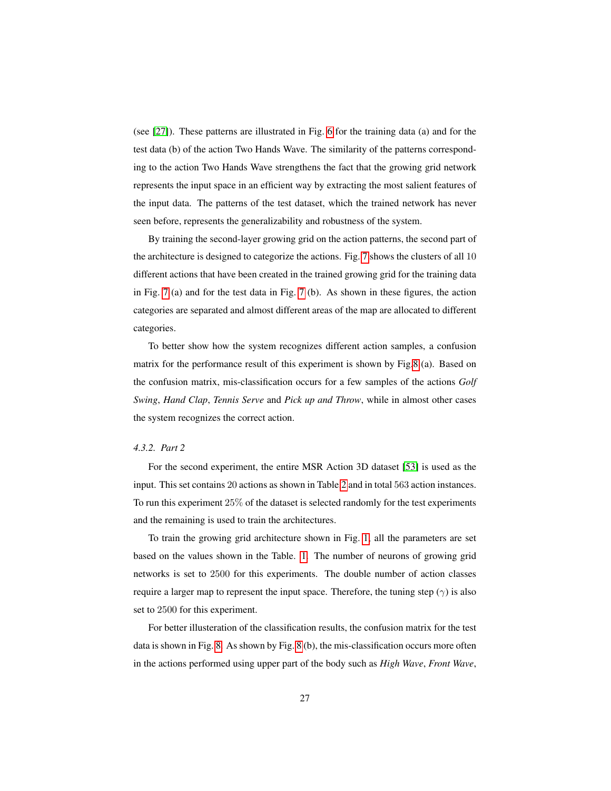(see [\[27\]](#page-39-7)). These patterns are illustrated in Fig. [6](#page-25-0) for the training data (a) and for the test data (b) of the action Two Hands Wave. The similarity of the patterns corresponding to the action Two Hands Wave strengthens the fact that the growing grid network represents the input space in an efficient way by extracting the most salient features of the input data. The patterns of the test dataset, which the trained network has never seen before, represents the generalizability and robustness of the system.

By training the second-layer growing grid on the action patterns, the second part of the architecture is designed to categorize the actions. Fig. [7](#page-27-0) shows the clusters of all 10 different actions that have been created in the trained growing grid for the training data in Fig. [7](#page-27-0) (a) and for the test data in Fig. [7](#page-27-0) (b). As shown in these figures, the action categories are separated and almost different areas of the map are allocated to different categories.

To better show how the system recognizes different action samples, a confusion matrix for the performance result of this experiment is shown by Fig[.8](#page-28-0) (a). Based on the confusion matrix, mis-classification occurs for a few samples of the actions *Golf Swing*, *Hand Clap*, *Tennis Serve* and *Pick up and Throw*, while in almost other cases the system recognizes the correct action.

## *4.3.2. Part 2*

For the second experiment, the entire MSR Action 3D dataset [\[53\]](#page-42-7) is used as the input. This set contains 20 actions as shown in Table[.2](#page-24-0) and in total 563 action instances. To run this experiment 25% of the dataset is selected randomly for the test experiments and the remaining is used to train the architectures.

To train the growing grid architecture shown in Fig. [1,](#page-8-0) all the parameters are set based on the values shown in the Table. [1.](#page-22-0) The number of neurons of growing grid networks is set to 2500 for this experiments. The double number of action classes require a larger map to represent the input space. Therefore, the tuning step  $(\gamma)$  is also set to 2500 for this experiment.

For better illusteration of the classification results, the confusion matrix for the test data is shown in Fig. [8.](#page-28-0) As shown by Fig. [8](#page-28-0) (b), the mis-classification occurs more often in the actions performed using upper part of the body such as *High Wave*, *Front Wave*,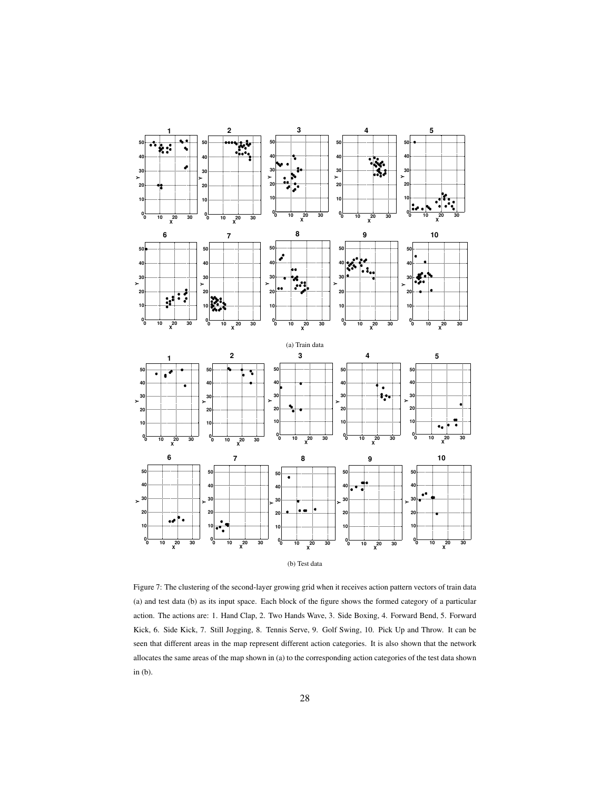<span id="page-27-0"></span>

Figure 7: The clustering of the second-layer growing grid when it receives action pattern vectors of train data (a) and test data (b) as its input space. Each block of the figure shows the formed category of a particular action. The actions are: 1. Hand Clap, 2. Two Hands Wave, 3. Side Boxing, 4. Forward Bend, 5. Forward Kick, 6. Side Kick, 7. Still Jogging, 8. Tennis Serve, 9. Golf Swing, 10. Pick Up and Throw. It can be seen that different areas in the map represent different action categories. It is also shown that the network allocates the same areas of the map shown in (a) to the corresponding action categories of the test data shown in (b).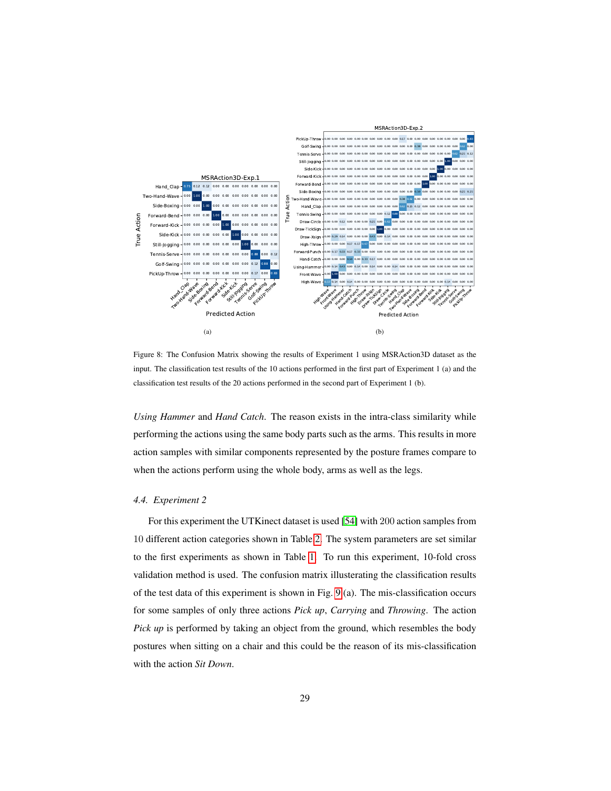<span id="page-28-0"></span>

Figure 8: The Confusion Matrix showing the results of Experiment 1 using MSRAction3D dataset as the input. The classification test results of the 10 actions performed in the first part of Experiment 1 (a) and the classification test results of the 20 actions performed in the second part of Experiment 1 (b).

*Using Hammer* and *Hand Catch*. The reason exists in the intra-class similarity while performing the actions using the same body parts such as the arms. This results in more action samples with similar components represented by the posture frames compare to when the actions perform using the whole body, arms as well as the legs.

# *4.4. Experiment 2*

For this experiment the UTKinect dataset is used [\[54\]](#page-43-0) with 200 action samples from 10 different action categories shown in Table[.2.](#page-24-0) The system parameters are set similar to the first experiments as shown in Table [1.](#page-22-0) To run this experiment, 10-fold cross validation method is used. The confusion matrix illusterating the classification results of the test data of this experiment is shown in Fig. [9](#page-29-0) (a). The mis-classification occurs for some samples of only three actions *Pick up*, *Carrying* and *Throwing*. The action *Pick up* is performed by taking an object from the ground, which resembles the body postures when sitting on a chair and this could be the reason of its mis-classification with the action *Sit Down*.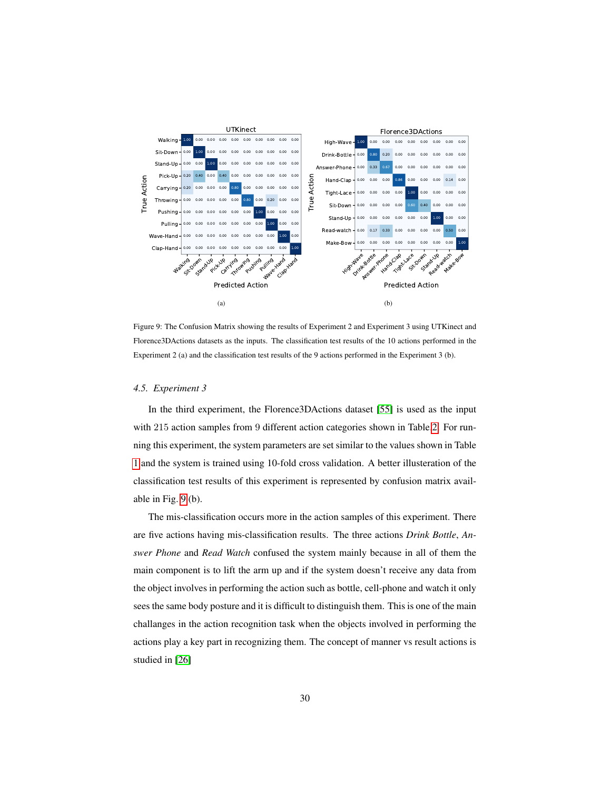<span id="page-29-0"></span>

Figure 9: The Confusion Matrix showing the results of Experiment 2 and Experiment 3 using UTKinect and Florence3DActions datasets as the inputs. The classification test results of the 10 actions performed in the Experiment 2 (a) and the classification test results of the 9 actions performed in the Experiment 3 (b).

#### *4.5. Experiment 3*

In the third experiment, the Florence3DActions dataset [\[55\]](#page-43-1) is used as the input with 215 action samples from 9 different action categories shown in Table[.2.](#page-24-0) For running this experiment, the system parameters are set similar to the values shown in Table [1](#page-22-0) and the system is trained using 10-fold cross validation. A better illusteration of the classification test results of this experiment is represented by confusion matrix available in Fig. [9](#page-29-0) (b).

The mis-classification occurs more in the action samples of this experiment. There are five actions having mis-classification results. The three actions *Drink Bottle*, *Answer Phone* and *Read Watch* confused the system mainly because in all of them the main component is to lift the arm up and if the system doesn't receive any data from the object involves in performing the action such as bottle, cell-phone and watch it only sees the same body posture and it is difficult to distinguish them. This is one of the main challanges in the action recognition task when the objects involved in performing the actions play a key part in recognizing them. The concept of manner vs result actions is studied in [\[26\]](#page-39-6)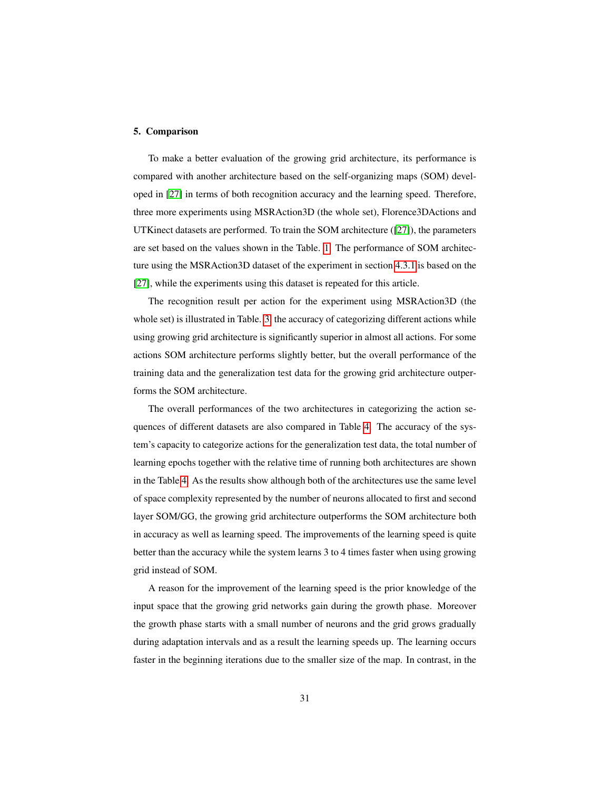#### 5. Comparison

To make a better evaluation of the growing grid architecture, its performance is compared with another architecture based on the self-organizing maps (SOM) developed in [\[27\]](#page-39-7) in terms of both recognition accuracy and the learning speed. Therefore, three more experiments using MSRAction3D (the whole set), Florence3DActions and UTKinect datasets are performed. To train the SOM architecture ([\[27\]](#page-39-7)), the parameters are set based on the values shown in the Table. [1.](#page-22-0) The performance of SOM architecture using the MSRAction3D dataset of the experiment in section [4.3.1](#page-24-1) is based on the [\[27\]](#page-39-7), while the experiments using this dataset is repeated for this article.

The recognition result per action for the experiment using MSRAction3D (the whole set) is illustrated in Table. [3,](#page-32-0) the accuracy of categorizing different actions while using growing grid architecture is significantly superior in almost all actions. For some actions SOM architecture performs slightly better, but the overall performance of the training data and the generalization test data for the growing grid architecture outperforms the SOM architecture.

The overall performances of the two architectures in categorizing the action sequences of different datasets are also compared in Table [4.](#page-33-0) The accuracy of the system's capacity to categorize actions for the generalization test data, the total number of learning epochs together with the relative time of running both architectures are shown in the Table [4.](#page-33-0) As the results show although both of the architectures use the same level of space complexity represented by the number of neurons allocated to first and second layer SOM/GG, the growing grid architecture outperforms the SOM architecture both in accuracy as well as learning speed. The improvements of the learning speed is quite better than the accuracy while the system learns 3 to 4 times faster when using growing grid instead of SOM.

A reason for the improvement of the learning speed is the prior knowledge of the input space that the growing grid networks gain during the growth phase. Moreover the growth phase starts with a small number of neurons and the grid grows gradually during adaptation intervals and as a result the learning speeds up. The learning occurs faster in the beginning iterations due to the smaller size of the map. In contrast, in the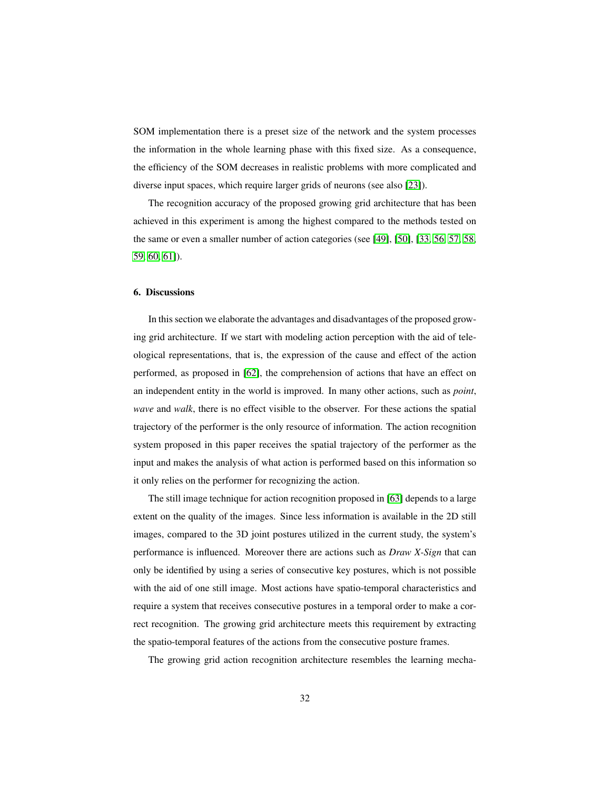SOM implementation there is a preset size of the network and the system processes the information in the whole learning phase with this fixed size. As a consequence, the efficiency of the SOM decreases in realistic problems with more complicated and diverse input spaces, which require larger grids of neurons (see also [\[23\]](#page-39-3)).

The recognition accuracy of the proposed growing grid architecture that has been achieved in this experiment is among the highest compared to the methods tested on the same or even a smaller number of action categories (see [\[49\]](#page-42-3), [\[50\]](#page-42-4), [\[33,](#page-40-5) [56,](#page-43-2) [57,](#page-43-3) [58,](#page-43-4) [59,](#page-43-5) [60,](#page-43-6) [61\]](#page-43-7)).

## 6. Discussions

In this section we elaborate the advantages and disadvantages of the proposed growing grid architecture. If we start with modeling action perception with the aid of teleological representations, that is, the expression of the cause and effect of the action performed, as proposed in [\[62\]](#page-43-8), the comprehension of actions that have an effect on an independent entity in the world is improved. In many other actions, such as *point*, *wave* and *walk*, there is no effect visible to the observer. For these actions the spatial trajectory of the performer is the only resource of information. The action recognition system proposed in this paper receives the spatial trajectory of the performer as the input and makes the analysis of what action is performed based on this information so it only relies on the performer for recognizing the action.

The still image technique for action recognition proposed in [\[63\]](#page-44-0) depends to a large extent on the quality of the images. Since less information is available in the 2D still images, compared to the 3D joint postures utilized in the current study, the system's performance is influenced. Moreover there are actions such as *Draw X-Sign* that can only be identified by using a series of consecutive key postures, which is not possible with the aid of one still image. Most actions have spatio-temporal characteristics and require a system that receives consecutive postures in a temporal order to make a correct recognition. The growing grid architecture meets this requirement by extracting the spatio-temporal features of the actions from the consecutive posture frames.

The growing grid action recognition architecture resembles the learning mecha-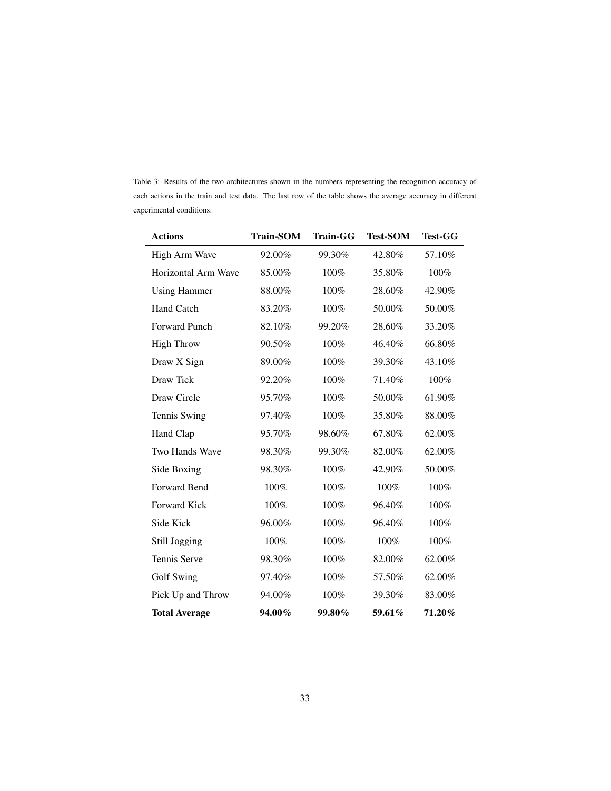| <b>Actions</b>       | <b>Train-SOM</b> | <b>Train-GG</b> | <b>Test-SOM</b> | <b>Test-GG</b> |
|----------------------|------------------|-----------------|-----------------|----------------|
| High Arm Wave        | 92.00%           | 99.30%          | 42.80%          | 57.10%         |
| Horizontal Arm Wave  | 85.00%           | 100%            | 35.80%          | 100%           |
| <b>Using Hammer</b>  | 88.00%           | 100%            | 28.60%          | 42.90%         |
| Hand Catch           | 83.20%           | 100%            | 50.00%          | 50.00%         |
| Forward Punch        | 82.10%           | 99.20%          | 28.60%          | 33.20%         |
| <b>High Throw</b>    | 90.50%           | 100%            | 46.40%          | 66.80%         |
| Draw X Sign          | 89.00%           | 100%            | 39.30%          | 43.10%         |
| Draw Tick            | 92.20%           | 100%            | 71.40%          | 100%           |
| Draw Circle          | 95.70%           | 100%            | 50.00%          | 61.90%         |
| Tennis Swing         | 97.40%           | 100%            | 35.80%          | 88.00%         |
| Hand Clap            | 95.70%           | 98.60%          | 67.80%          | 62.00%         |
| Two Hands Wave       | 98.30%           | 99.30%          | 82.00%          | 62.00%         |
| Side Boxing          | 98.30%           | 100%            | 42.90%          | 50.00%         |
| Forward Bend         | 100%             | 100%            | 100%            | 100%           |
| Forward Kick         | 100%             | 100%            | 96.40%          | 100%           |
| Side Kick            | 96.00%           | 100%            | 96.40%          | 100%           |
| Still Jogging        | 100%             | 100%            | 100%            | 100%           |
| <b>Tennis Serve</b>  | 98.30%           | 100%            | 82.00%          | 62.00%         |
| Golf Swing           | 97.40%           | 100%            | 57.50%          | 62.00%         |
| Pick Up and Throw    | 94.00%           | 100%            | 39.30%          | 83.00%         |
| <b>Total Average</b> | 94.00%           | 99.80%          | 59.61%          | 71.20%         |

<span id="page-32-0"></span>Table 3: Results of the two architectures shown in the numbers representing the recognition accuracy of each actions in the train and test data. The last row of the table shows the average accuracy in different experimental conditions.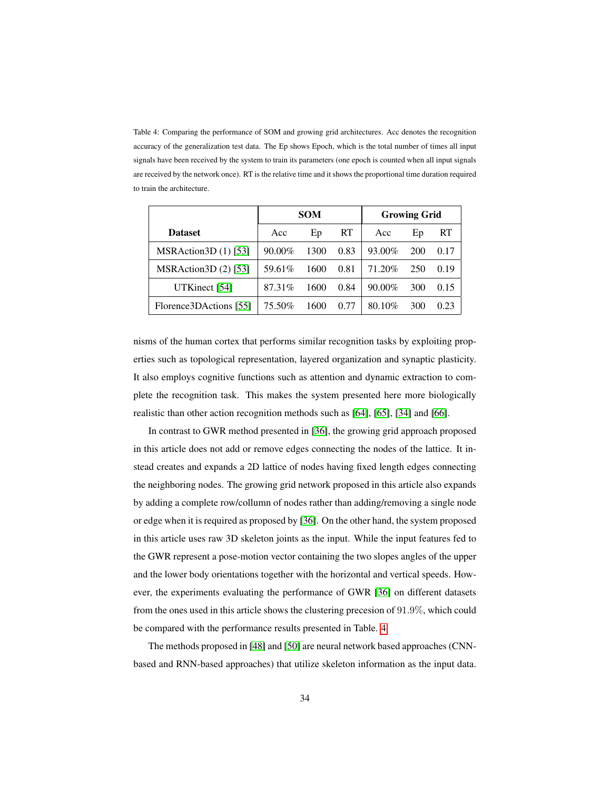<span id="page-33-0"></span>Table 4: Comparing the performance of SOM and growing grid architectures. Acc denotes the recognition accuracy of the generalization test data. The Ep shows Epoch, which is the total number of times all input signals have been received by the system to train its parameters (one epoch is counted when all input signals are received by the network once). RT is the relative time and it shows the proportional time duration required to train the architecture.

|                        | <b>SOM</b> |      |      | <b>Growing Grid</b> |     |      |
|------------------------|------------|------|------|---------------------|-----|------|
| <b>Dataset</b>         | Acc        | Ep   | RT   | Acc                 | Ep  | RT   |
| MSRAction $3D(1)$ [53] | $90.00\%$  | 1300 | 0.83 | 93.00%              | 200 | 0.17 |
| $MSRAction3D(2)$ [53]  | 59.61%     | 1600 | 0.81 | 71.20%              | 250 | 0.19 |
| UTKinect [54]          | 87.31%     | 1600 | 0.84 | $90.00\%$           | 300 | 0.15 |
| Florence3DActions [55] | 75.50%     | 1600 | 0.77 | 80.10%              | 300 | 0.23 |

nisms of the human cortex that performs similar recognition tasks by exploiting properties such as topological representation, layered organization and synaptic plasticity. It also employs cognitive functions such as attention and dynamic extraction to complete the recognition task. This makes the system presented here more biologically realistic than other action recognition methods such as [\[64\]](#page-44-1), [\[65\]](#page-44-2), [\[34\]](#page-40-6) and [\[66\]](#page-44-3).

In contrast to GWR method presented in [\[36\]](#page-40-8), the growing grid approach proposed in this article does not add or remove edges connecting the nodes of the lattice. It instead creates and expands a 2D lattice of nodes having fixed length edges connecting the neighboring nodes. The growing grid network proposed in this article also expands by adding a complete row/collumn of nodes rather than adding/removing a single node or edge when it is required as proposed by [\[36\]](#page-40-8). On the other hand, the system proposed in this article uses raw 3D skeleton joints as the input. While the input features fed to the GWR represent a pose-motion vector containing the two slopes angles of the upper and the lower body orientations together with the horizontal and vertical speeds. However, the experiments evaluating the performance of GWR [\[36\]](#page-40-8) on different datasets from the ones used in this article shows the clustering precesion of 91.9%, which could be compared with the performance results presented in Table. [4.](#page-33-0)

The methods proposed in [\[48\]](#page-42-2) and [\[50\]](#page-42-4) are neural network based approaches (CNNbased and RNN-based approaches) that utilize skeleton information as the input data.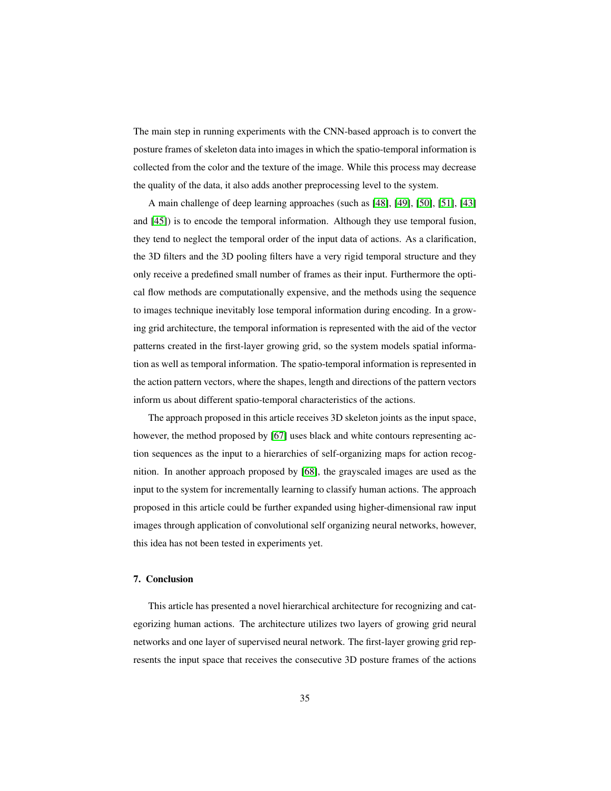The main step in running experiments with the CNN-based approach is to convert the posture frames of skeleton data into images in which the spatio-temporal information is collected from the color and the texture of the image. While this process may decrease the quality of the data, it also adds another preprocessing level to the system.

A main challenge of deep learning approaches (such as [\[48\]](#page-42-2), [\[49\]](#page-42-3), [\[50\]](#page-42-4), [\[51\]](#page-42-5), [\[43\]](#page-41-6) and [\[45\]](#page-41-8)) is to encode the temporal information. Although they use temporal fusion, they tend to neglect the temporal order of the input data of actions. As a clarification, the 3D filters and the 3D pooling filters have a very rigid temporal structure and they only receive a predefined small number of frames as their input. Furthermore the optical flow methods are computationally expensive, and the methods using the sequence to images technique inevitably lose temporal information during encoding. In a growing grid architecture, the temporal information is represented with the aid of the vector patterns created in the first-layer growing grid, so the system models spatial information as well as temporal information. The spatio-temporal information is represented in the action pattern vectors, where the shapes, length and directions of the pattern vectors inform us about different spatio-temporal characteristics of the actions.

The approach proposed in this article receives 3D skeleton joints as the input space, however, the method proposed by [\[67\]](#page-44-4) uses black and white contours representing action sequences as the input to a hierarchies of self-organizing maps for action recognition. In another approach proposed by [\[68\]](#page-44-5), the grayscaled images are used as the input to the system for incrementally learning to classify human actions. The approach proposed in this article could be further expanded using higher-dimensional raw input images through application of convolutional self organizing neural networks, however, this idea has not been tested in experiments yet.

# 7. Conclusion

This article has presented a novel hierarchical architecture for recognizing and categorizing human actions. The architecture utilizes two layers of growing grid neural networks and one layer of supervised neural network. The first-layer growing grid represents the input space that receives the consecutive 3D posture frames of the actions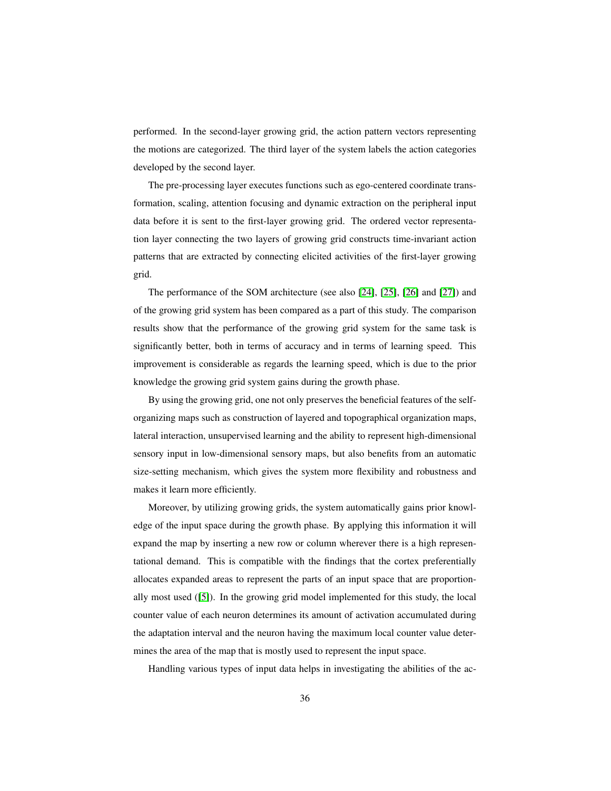performed. In the second-layer growing grid, the action pattern vectors representing the motions are categorized. The third layer of the system labels the action categories developed by the second layer.

The pre-processing layer executes functions such as ego-centered coordinate transformation, scaling, attention focusing and dynamic extraction on the peripheral input data before it is sent to the first-layer growing grid. The ordered vector representation layer connecting the two layers of growing grid constructs time-invariant action patterns that are extracted by connecting elicited activities of the first-layer growing grid.

The performance of the SOM architecture (see also [\[24\]](#page-39-4), [\[25\]](#page-39-5), [\[26\]](#page-39-6) and [\[27\]](#page-39-7)) and of the growing grid system has been compared as a part of this study. The comparison results show that the performance of the growing grid system for the same task is significantly better, both in terms of accuracy and in terms of learning speed. This improvement is considerable as regards the learning speed, which is due to the prior knowledge the growing grid system gains during the growth phase.

By using the growing grid, one not only preserves the beneficial features of the selforganizing maps such as construction of layered and topographical organization maps, lateral interaction, unsupervised learning and the ability to represent high-dimensional sensory input in low-dimensional sensory maps, but also benefits from an automatic size-setting mechanism, which gives the system more flexibility and robustness and makes it learn more efficiently.

Moreover, by utilizing growing grids, the system automatically gains prior knowledge of the input space during the growth phase. By applying this information it will expand the map by inserting a new row or column wherever there is a high representational demand. This is compatible with the findings that the cortex preferentially allocates expanded areas to represent the parts of an input space that are proportionally most used ([\[5\]](#page-37-4)). In the growing grid model implemented for this study, the local counter value of each neuron determines its amount of activation accumulated during the adaptation interval and the neuron having the maximum local counter value determines the area of the map that is mostly used to represent the input space.

Handling various types of input data helps in investigating the abilities of the ac-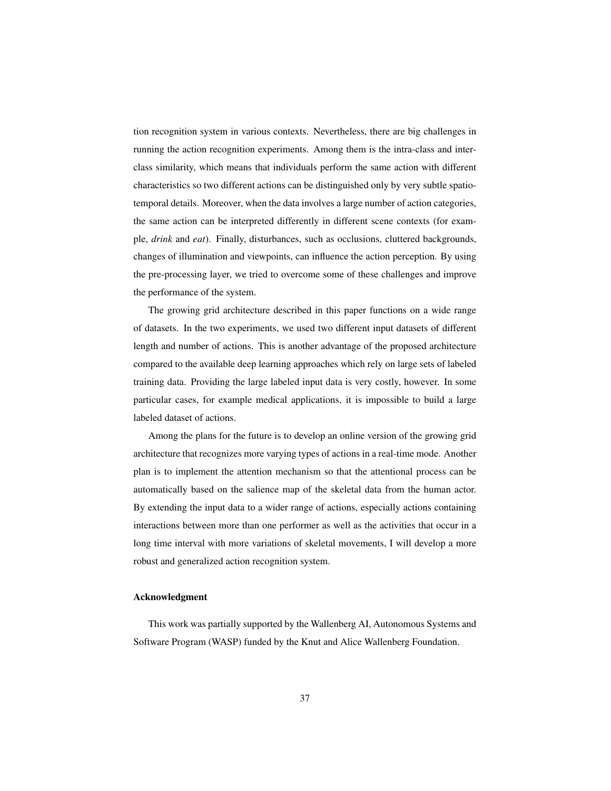tion recognition system in various contexts. Nevertheless, there are big challenges in running the action recognition experiments. Among them is the intra-class and interclass similarity, which means that individuals perform the same action with different characteristics so two different actions can be distinguished only by very subtle spatiotemporal details. Moreover, when the data involves a large number of action categories, the same action can be interpreted differently in different scene contexts (for example, *drink* and *eat*). Finally, disturbances, such as occlusions, cluttered backgrounds, changes of illumination and viewpoints, can influence the action perception. By using the pre-processing layer, we tried to overcome some of these challenges and improve the performance of the system.

The growing grid architecture described in this paper functions on a wide range of datasets. In the two experiments, we used two different input datasets of different length and number of actions. This is another advantage of the proposed architecture compared to the available deep learning approaches which rely on large sets of labeled training data. Providing the large labeled input data is very costly, however. In some particular cases, for example medical applications, it is impossible to build a large labeled dataset of actions.

Among the plans for the future is to develop an online version of the growing grid architecture that recognizes more varying types of actions in a real-time mode. Another plan is to implement the attention mechanism so that the attentional process can be automatically based on the salience map of the skeletal data from the human actor. By extending the input data to a wider range of actions, especially actions containing interactions between more than one performer as well as the activities that occur in a long time interval with more variations of skeletal movements, I will develop a more robust and generalized action recognition system.

## Acknowledgment

This work was partially supported by the Wallenberg AI, Autonomous Systems and Software Program (WASP) funded by the Knut and Alice Wallenberg Foundation.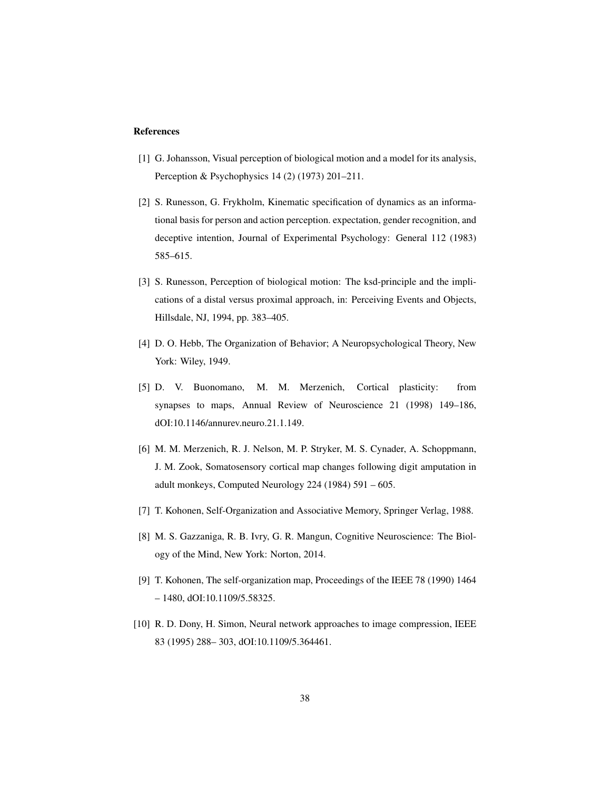#### References

- <span id="page-37-0"></span>[1] G. Johansson, Visual perception of biological motion and a model for its analysis, Perception & Psychophysics 14 (2) (1973) 201–211.
- <span id="page-37-1"></span>[2] S. Runesson, G. Frykholm, Kinematic specification of dynamics as an informational basis for person and action perception. expectation, gender recognition, and deceptive intention, Journal of Experimental Psychology: General 112 (1983) 585–615.
- <span id="page-37-2"></span>[3] S. Runesson, Perception of biological motion: The ksd-principle and the implications of a distal versus proximal approach, in: Perceiving Events and Objects, Hillsdale, NJ, 1994, pp. 383–405.
- <span id="page-37-3"></span>[4] D. O. Hebb, The Organization of Behavior; A Neuropsychological Theory, New York: Wiley, 1949.
- <span id="page-37-4"></span>[5] D. V. Buonomano, M. M. Merzenich, Cortical plasticity: from synapses to maps, Annual Review of Neuroscience 21 (1998) 149–186, dOI:10.1146/annurev.neuro.21.1.149.
- <span id="page-37-5"></span>[6] M. M. Merzenich, R. J. Nelson, M. P. Stryker, M. S. Cynader, A. Schoppmann, J. M. Zook, Somatosensory cortical map changes following digit amputation in adult monkeys, Computed Neurology 224 (1984) 591 – 605.
- <span id="page-37-6"></span>[7] T. Kohonen, Self-Organization and Associative Memory, Springer Verlag, 1988.
- <span id="page-37-7"></span>[8] M. S. Gazzaniga, R. B. Ivry, G. R. Mangun, Cognitive Neuroscience: The Biology of the Mind, New York: Norton, 2014.
- <span id="page-37-8"></span>[9] T. Kohonen, The self-organization map, Proceedings of the IEEE 78 (1990) 1464 – 1480, dOI:10.1109/5.58325.
- <span id="page-37-9"></span>[10] R. D. Dony, H. Simon, Neural network approaches to image compression, IEEE 83 (1995) 288– 303, dOI:10.1109/5.364461.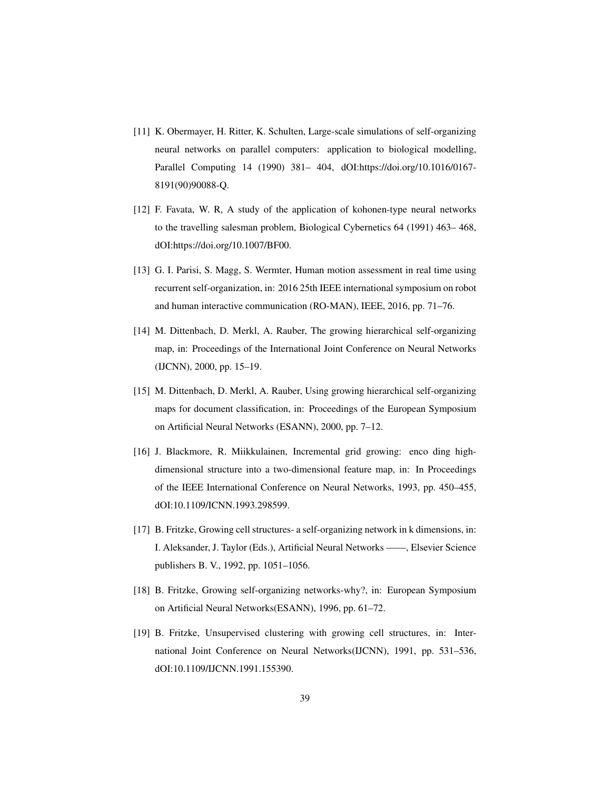- <span id="page-38-0"></span>[11] K. Obermayer, H. Ritter, K. Schulten, Large-scale simulations of self-organizing neural networks on parallel computers: application to biological modelling, Parallel Computing 14 (1990) 381– 404, dOI:https://doi.org/10.1016/0167- 8191(90)90088-Q.
- <span id="page-38-1"></span>[12] F. Favata, W. R, A study of the application of kohonen-type neural networks to the travelling salesman problem, Biological Cybernetics 64 (1991) 463– 468, dOI:https://doi.org/10.1007/BF00.
- <span id="page-38-2"></span>[13] G. I. Parisi, S. Magg, S. Wermter, Human motion assessment in real time using recurrent self-organization, in: 2016 25th IEEE international symposium on robot and human interactive communication (RO-MAN), IEEE, 2016, pp. 71–76.
- <span id="page-38-3"></span>[14] M. Dittenbach, D. Merkl, A. Rauber, The growing hierarchical self-organizing map, in: Proceedings of the International Joint Conference on Neural Networks (IJCNN), 2000, pp. 15–19.
- <span id="page-38-4"></span>[15] M. Dittenbach, D. Merkl, A. Rauber, Using growing hierarchical self-organizing maps for document classification, in: Proceedings of the European Symposium on Artificial Neural Networks (ESANN), 2000, pp. 7–12.
- <span id="page-38-5"></span>[16] J. Blackmore, R. Miikkulainen, Incremental grid growing: enco ding highdimensional structure into a two-dimensional feature map, in: In Proceedings of the IEEE International Conference on Neural Networks, 1993, pp. 450–455, dOI:10.1109/ICNN.1993.298599.
- <span id="page-38-6"></span>[17] B. Fritzke, Growing cell structures- a self-organizing network in k dimensions, in: I. Aleksander, J. Taylor (Eds.), Artificial Neural Networks ——, Elsevier Science publishers B. V., 1992, pp. 1051–1056.
- <span id="page-38-7"></span>[18] B. Fritzke, Growing self-organizing networks-why?, in: European Symposium on Artificial Neural Networks(ESANN), 1996, pp. 61–72.
- <span id="page-38-8"></span>[19] B. Fritzke, Unsupervised clustering with growing cell structures, in: International Joint Conference on Neural Networks(IJCNN), 1991, pp. 531–536, dOI:10.1109/IJCNN.1991.155390.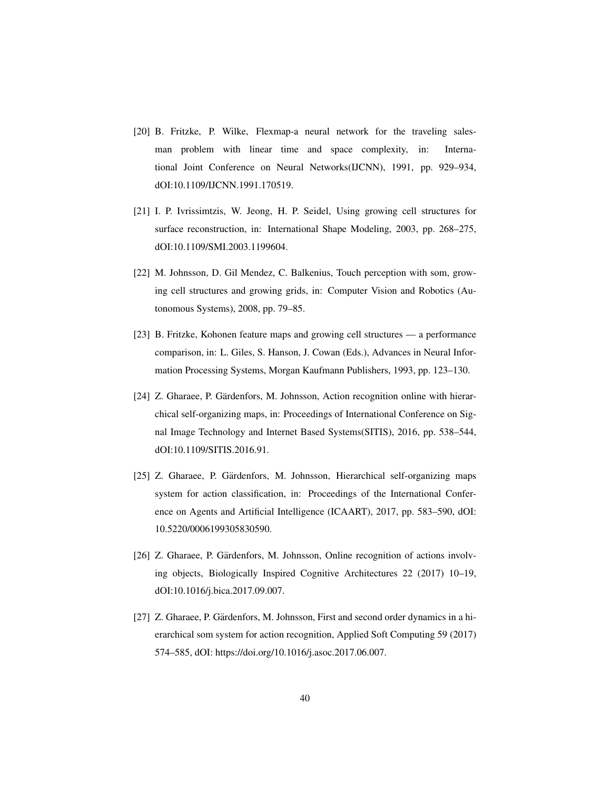- <span id="page-39-0"></span>[20] B. Fritzke, P. Wilke, Flexmap-a neural network for the traveling salesman problem with linear time and space complexity, in: International Joint Conference on Neural Networks(IJCNN), 1991, pp. 929–934, dOI:10.1109/IJCNN.1991.170519.
- <span id="page-39-1"></span>[21] I. P. Ivrissimtzis, W. Jeong, H. P. Seidel, Using growing cell structures for surface reconstruction, in: International Shape Modeling, 2003, pp. 268–275, dOI:10.1109/SMI.2003.1199604.
- <span id="page-39-2"></span>[22] M. Johnsson, D. Gil Mendez, C. Balkenius, Touch perception with som, growing cell structures and growing grids, in: Computer Vision and Robotics (Autonomous Systems), 2008, pp. 79–85.
- <span id="page-39-3"></span>[23] B. Fritzke, Kohonen feature maps and growing cell structures — a performance comparison, in: L. Giles, S. Hanson, J. Cowan (Eds.), Advances in Neural Information Processing Systems, Morgan Kaufmann Publishers, 1993, pp. 123–130.
- <span id="page-39-4"></span>[24] Z. Gharaee, P. Gärdenfors, M. Johnsson, Action recognition online with hierarchical self-organizing maps, in: Proceedings of International Conference on Signal Image Technology and Internet Based Systems(SITIS), 2016, pp. 538–544, dOI:10.1109/SITIS.2016.91.
- <span id="page-39-5"></span>[25] Z. Gharaee, P. Gärdenfors, M. Johnsson, Hierarchical self-organizing maps system for action classification, in: Proceedings of the International Conference on Agents and Artificial Intelligence (ICAART), 2017, pp. 583–590, dOI: 10.5220/0006199305830590.
- <span id="page-39-6"></span>[26] Z. Gharaee, P. Gärdenfors, M. Johnsson, Online recognition of actions involving objects, Biologically Inspired Cognitive Architectures 22 (2017) 10–19, dOI:10.1016/j.bica.2017.09.007.
- <span id="page-39-7"></span>[27] Z. Gharaee, P. Gärdenfors, M. Johnsson, First and second order dynamics in a hierarchical som system for action recognition, Applied Soft Computing 59 (2017) 574–585, dOI: https://doi.org/10.1016/j.asoc.2017.06.007.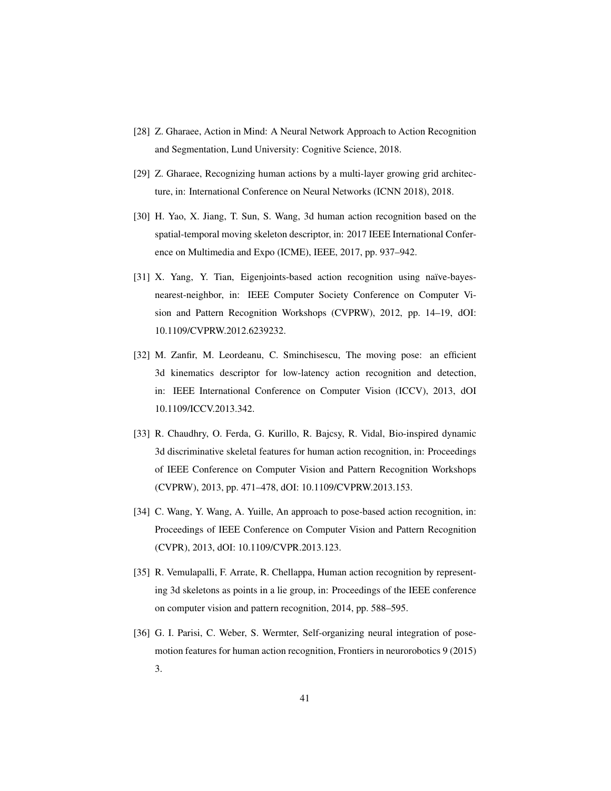- <span id="page-40-0"></span>[28] Z. Gharaee, Action in Mind: A Neural Network Approach to Action Recognition and Segmentation, Lund University: Cognitive Science, 2018.
- <span id="page-40-1"></span>[29] Z. Gharaee, Recognizing human actions by a multi-layer growing grid architecture, in: International Conference on Neural Networks (ICNN 2018), 2018.
- <span id="page-40-2"></span>[30] H. Yao, X. Jiang, T. Sun, S. Wang, 3d human action recognition based on the spatial-temporal moving skeleton descriptor, in: 2017 IEEE International Conference on Multimedia and Expo (ICME), IEEE, 2017, pp. 937–942.
- <span id="page-40-3"></span>[31] X. Yang, Y. Tian, Eigenjoints-based action recognition using naïve-bayesnearest-neighbor, in: IEEE Computer Society Conference on Computer Vision and Pattern Recognition Workshops (CVPRW), 2012, pp. 14–19, dOI: 10.1109/CVPRW.2012.6239232.
- <span id="page-40-4"></span>[32] M. Zanfir, M. Leordeanu, C. Sminchisescu, The moving pose: an efficient 3d kinematics descriptor for low-latency action recognition and detection, in: IEEE International Conference on Computer Vision (ICCV), 2013, dOI 10.1109/ICCV.2013.342.
- <span id="page-40-5"></span>[33] R. Chaudhry, O. Ferda, G. Kurillo, R. Bajcsy, R. Vidal, Bio-inspired dynamic 3d discriminative skeletal features for human action recognition, in: Proceedings of IEEE Conference on Computer Vision and Pattern Recognition Workshops (CVPRW), 2013, pp. 471–478, dOI: 10.1109/CVPRW.2013.153.
- <span id="page-40-6"></span>[34] C. Wang, Y. Wang, A. Yuille, An approach to pose-based action recognition, in: Proceedings of IEEE Conference on Computer Vision and Pattern Recognition (CVPR), 2013, dOI: 10.1109/CVPR.2013.123.
- <span id="page-40-7"></span>[35] R. Vemulapalli, F. Arrate, R. Chellappa, Human action recognition by representing 3d skeletons as points in a lie group, in: Proceedings of the IEEE conference on computer vision and pattern recognition, 2014, pp. 588–595.
- <span id="page-40-8"></span>[36] G. I. Parisi, C. Weber, S. Wermter, Self-organizing neural integration of posemotion features for human action recognition, Frontiers in neurorobotics 9 (2015) 3.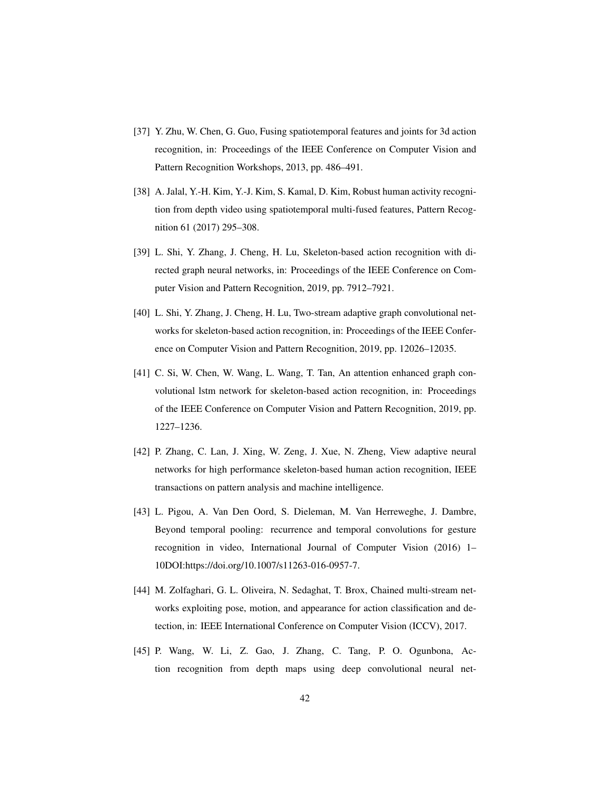- <span id="page-41-0"></span>[37] Y. Zhu, W. Chen, G. Guo, Fusing spatiotemporal features and joints for 3d action recognition, in: Proceedings of the IEEE Conference on Computer Vision and Pattern Recognition Workshops, 2013, pp. 486–491.
- <span id="page-41-1"></span>[38] A. Jalal, Y.-H. Kim, Y.-J. Kim, S. Kamal, D. Kim, Robust human activity recognition from depth video using spatiotemporal multi-fused features, Pattern Recognition 61 (2017) 295–308.
- <span id="page-41-2"></span>[39] L. Shi, Y. Zhang, J. Cheng, H. Lu, Skeleton-based action recognition with directed graph neural networks, in: Proceedings of the IEEE Conference on Computer Vision and Pattern Recognition, 2019, pp. 7912–7921.
- <span id="page-41-3"></span>[40] L. Shi, Y. Zhang, J. Cheng, H. Lu, Two-stream adaptive graph convolutional networks for skeleton-based action recognition, in: Proceedings of the IEEE Conference on Computer Vision and Pattern Recognition, 2019, pp. 12026–12035.
- <span id="page-41-4"></span>[41] C. Si, W. Chen, W. Wang, L. Wang, T. Tan, An attention enhanced graph convolutional lstm network for skeleton-based action recognition, in: Proceedings of the IEEE Conference on Computer Vision and Pattern Recognition, 2019, pp. 1227–1236.
- <span id="page-41-5"></span>[42] P. Zhang, C. Lan, J. Xing, W. Zeng, J. Xue, N. Zheng, View adaptive neural networks for high performance skeleton-based human action recognition, IEEE transactions on pattern analysis and machine intelligence.
- <span id="page-41-6"></span>[43] L. Pigou, A. Van Den Oord, S. Dieleman, M. Van Herreweghe, J. Dambre, Beyond temporal pooling: recurrence and temporal convolutions for gesture recognition in video, International Journal of Computer Vision (2016) 1– 10DOI:https://doi.org/10.1007/s11263-016-0957-7.
- <span id="page-41-7"></span>[44] M. Zolfaghari, G. L. Oliveira, N. Sedaghat, T. Brox, Chained multi-stream networks exploiting pose, motion, and appearance for action classification and detection, in: IEEE International Conference on Computer Vision (ICCV), 2017.
- <span id="page-41-8"></span>[45] P. Wang, W. Li, Z. Gao, J. Zhang, C. Tang, P. O. Ogunbona, Action recognition from depth maps using deep convolutional neural net-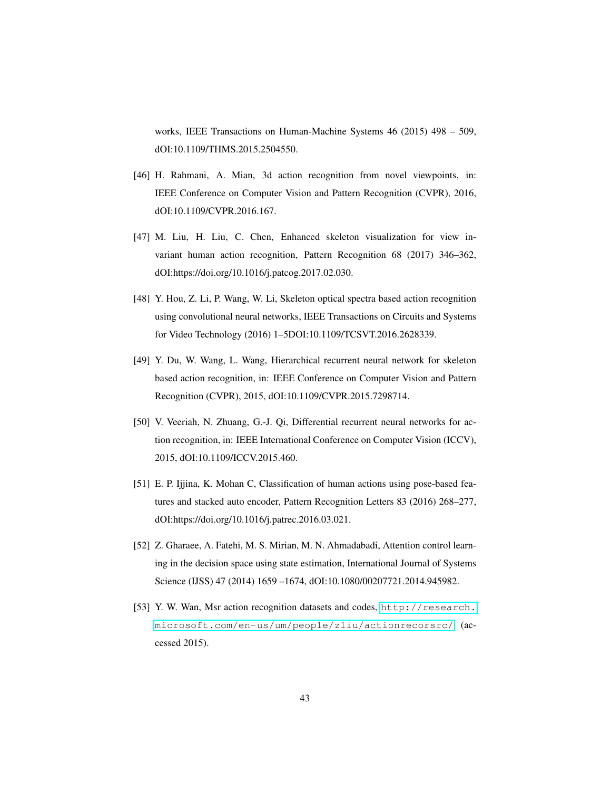works, IEEE Transactions on Human-Machine Systems 46 (2015) 498 – 509, dOI:10.1109/THMS.2015.2504550.

- <span id="page-42-0"></span>[46] H. Rahmani, A. Mian, 3d action recognition from novel viewpoints, in: IEEE Conference on Computer Vision and Pattern Recognition (CVPR), 2016, dOI:10.1109/CVPR.2016.167.
- <span id="page-42-1"></span>[47] M. Liu, H. Liu, C. Chen, Enhanced skeleton visualization for view invariant human action recognition, Pattern Recognition 68 (2017) 346–362, dOI:https://doi.org/10.1016/j.patcog.2017.02.030.
- <span id="page-42-2"></span>[48] Y. Hou, Z. Li, P. Wang, W. Li, Skeleton optical spectra based action recognition using convolutional neural networks, IEEE Transactions on Circuits and Systems for Video Technology (2016) 1–5DOI:10.1109/TCSVT.2016.2628339.
- <span id="page-42-3"></span>[49] Y. Du, W. Wang, L. Wang, Hierarchical recurrent neural network for skeleton based action recognition, in: IEEE Conference on Computer Vision and Pattern Recognition (CVPR), 2015, dOI:10.1109/CVPR.2015.7298714.
- <span id="page-42-4"></span>[50] V. Veeriah, N. Zhuang, G.-J. Qi, Differential recurrent neural networks for action recognition, in: IEEE International Conference on Computer Vision (ICCV), 2015, dOI:10.1109/ICCV.2015.460.
- <span id="page-42-5"></span>[51] E. P. Ijjina, K. Mohan C, Classification of human actions using pose-based features and stacked auto encoder, Pattern Recognition Letters 83 (2016) 268–277, dOI:https://doi.org/10.1016/j.patrec.2016.03.021.
- <span id="page-42-6"></span>[52] Z. Gharaee, A. Fatehi, M. S. Mirian, M. N. Ahmadabadi, Attention control learning in the decision space using state estimation, International Journal of Systems Science (IJSS) 47 (2014) 1659 –1674, dOI:10.1080/00207721.2014.945982.
- <span id="page-42-7"></span>[53] Y. W. Wan, Msr action recognition datasets and codes, [http://research.](http://research.microsoft.com/en-us/um/people/zliu/actionrecorsrc/) [microsoft.com/en-us/um/people/zliu/actionrecorsrc/](http://research.microsoft.com/en-us/um/people/zliu/actionrecorsrc/) (accessed 2015).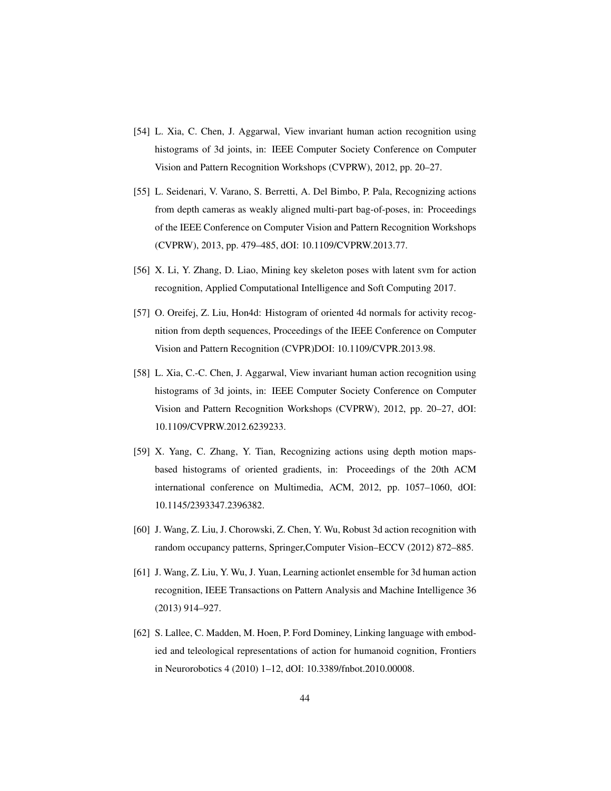- <span id="page-43-0"></span>[54] L. Xia, C. Chen, J. Aggarwal, View invariant human action recognition using histograms of 3d joints, in: IEEE Computer Society Conference on Computer Vision and Pattern Recognition Workshops (CVPRW), 2012, pp. 20–27.
- <span id="page-43-1"></span>[55] L. Seidenari, V. Varano, S. Berretti, A. Del Bimbo, P. Pala, Recognizing actions from depth cameras as weakly aligned multi-part bag-of-poses, in: Proceedings of the IEEE Conference on Computer Vision and Pattern Recognition Workshops (CVPRW), 2013, pp. 479–485, dOI: 10.1109/CVPRW.2013.77.
- <span id="page-43-2"></span>[56] X. Li, Y. Zhang, D. Liao, Mining key skeleton poses with latent svm for action recognition, Applied Computational Intelligence and Soft Computing 2017.
- <span id="page-43-3"></span>[57] O. Oreifej, Z. Liu, Hon4d: Histogram of oriented 4d normals for activity recognition from depth sequences, Proceedings of the IEEE Conference on Computer Vision and Pattern Recognition (CVPR)DOI: 10.1109/CVPR.2013.98.
- <span id="page-43-4"></span>[58] L. Xia, C.-C. Chen, J. Aggarwal, View invariant human action recognition using histograms of 3d joints, in: IEEE Computer Society Conference on Computer Vision and Pattern Recognition Workshops (CVPRW), 2012, pp. 20–27, dOI: 10.1109/CVPRW.2012.6239233.
- <span id="page-43-5"></span>[59] X. Yang, C. Zhang, Y. Tian, Recognizing actions using depth motion mapsbased histograms of oriented gradients, in: Proceedings of the 20th ACM international conference on Multimedia, ACM, 2012, pp. 1057–1060, dOI: 10.1145/2393347.2396382.
- <span id="page-43-6"></span>[60] J. Wang, Z. Liu, J. Chorowski, Z. Chen, Y. Wu, Robust 3d action recognition with random occupancy patterns, Springer,Computer Vision–ECCV (2012) 872–885.
- <span id="page-43-7"></span>[61] J. Wang, Z. Liu, Y. Wu, J. Yuan, Learning actionlet ensemble for 3d human action recognition, IEEE Transactions on Pattern Analysis and Machine Intelligence 36 (2013) 914–927.
- <span id="page-43-8"></span>[62] S. Lallee, C. Madden, M. Hoen, P. Ford Dominey, Linking language with embodied and teleological representations of action for humanoid cognition, Frontiers in Neurorobotics 4 (2010) 1–12, dOI: 10.3389/fnbot.2010.00008.